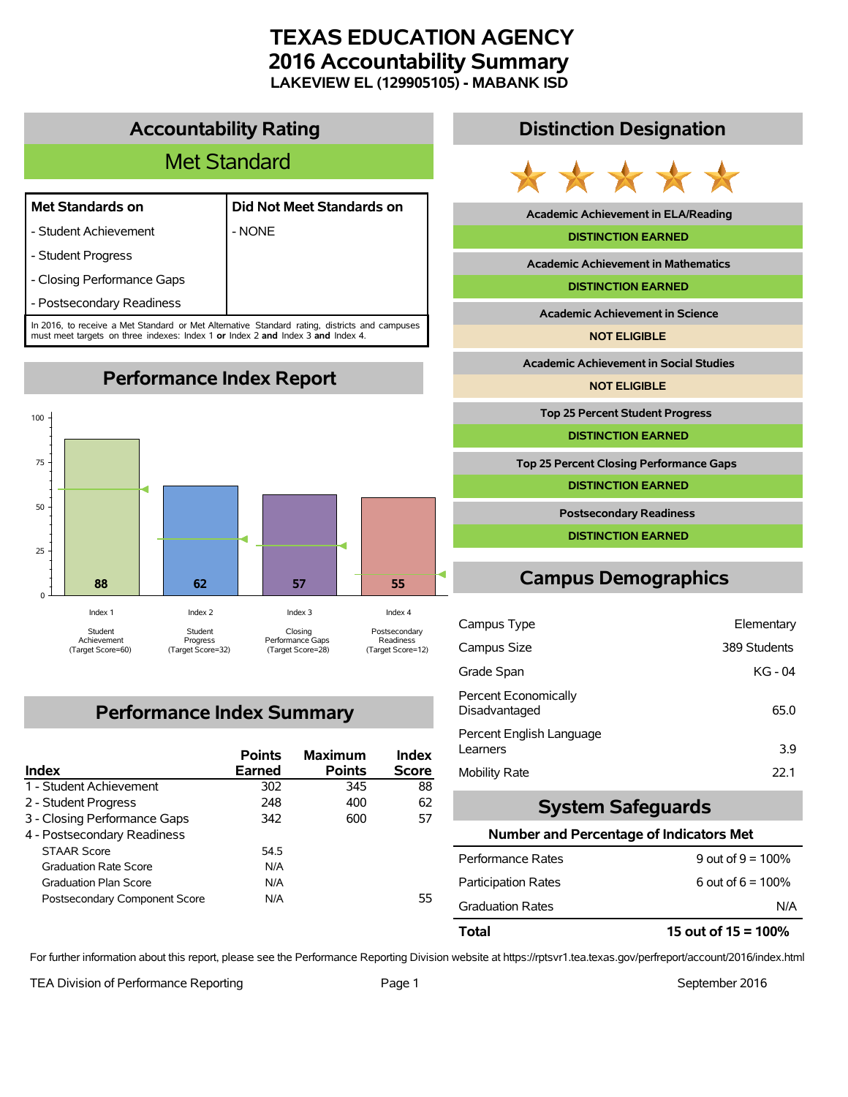# **TEXAS EDUCATION AGENCY 2016 Accountability Summary LAKEVIEW EL (129905105) - MABANK ISD**

# **Accountability Rating**

# Met Standard

- Student Achievement  $\blacksquare$  - NONE

|            | Did Not Meet Standards |  |  |
|------------|------------------------|--|--|
| $\sqrt{2}$ |                        |  |  |

- Student Progress
- Closing Performance Gaps
- Postsecondary Readiness

In 2016, to receive a Met Standard or Met Alternative Standard rating, districts and campuses must meet targets on three indexes: Index 1 **or** Index 2 **and** Index 3 **and** Index 4.

**Performance Index Report**



# **Performance Index Summary**

| Index                         | <b>Points</b><br>Earned | <b>Maximum</b><br><b>Points</b> | Index<br><b>Score</b> |
|-------------------------------|-------------------------|---------------------------------|-----------------------|
| 1 - Student Achievement       | 302                     | 345                             | 88                    |
| 2 - Student Progress          | 248                     | 400                             | 62                    |
| 3 - Closing Performance Gaps  | 342                     | 600                             | 57                    |
| 4 - Postsecondary Readiness   |                         |                                 |                       |
| <b>STAAR Score</b>            | 54.5                    |                                 |                       |
| <b>Graduation Rate Score</b>  | N/A                     |                                 |                       |
| <b>Graduation Plan Score</b>  | N/A                     |                                 |                       |
| Postsecondary Component Score | N/A                     |                                 | 55.                   |

# **Distinction Designation**



**Academic Achievement in ELA/Reading**

#### **DISTINCTION EARNED**

**Academic Achievement in Mathematics**

**DISTINCTION EARNED**

**Academic Achievement in Science**

**NOT ELIGIBLE**

**Academic Achievement in Social Studies**

**NOT ELIGIBLE**

**Top 25 Percent Student Progress**

**DISTINCTION EARNED**

**Top 25 Percent Closing Performance Gaps**

**DISTINCTION EARNED**

**Postsecondary Readiness**

**DISTINCTION EARNED**

# **Campus Demographics**

| Campus Type                           | Elementary   |
|---------------------------------------|--------------|
| Campus Size                           | 389 Students |
| Grade Span                            | KG - 04      |
| Percent Economically<br>Disadvantaged | 65.0         |
| Percent English Language<br>Learners  | 3.9          |
| Mobility Rate                         | 22.1         |

# **System Safeguards**

#### **Number and Percentage of Indicators Met**

| <b>Total</b>               | 15 out of $15 = 100\%$ |
|----------------------------|------------------------|
| <b>Graduation Rates</b>    | N/A                    |
| <b>Participation Rates</b> | 6 out of $6 = 100\%$   |
| Performance Rates          | 9 out of $9 = 100\%$   |
|                            |                        |

For further information about this report, please see the Performance Reporting Division website at https://rptsvr1.tea.texas.gov/perfreport/account/2016/index.html

TEA Division of Performance Reporting TEA Division of Performance Reporting Team Page 1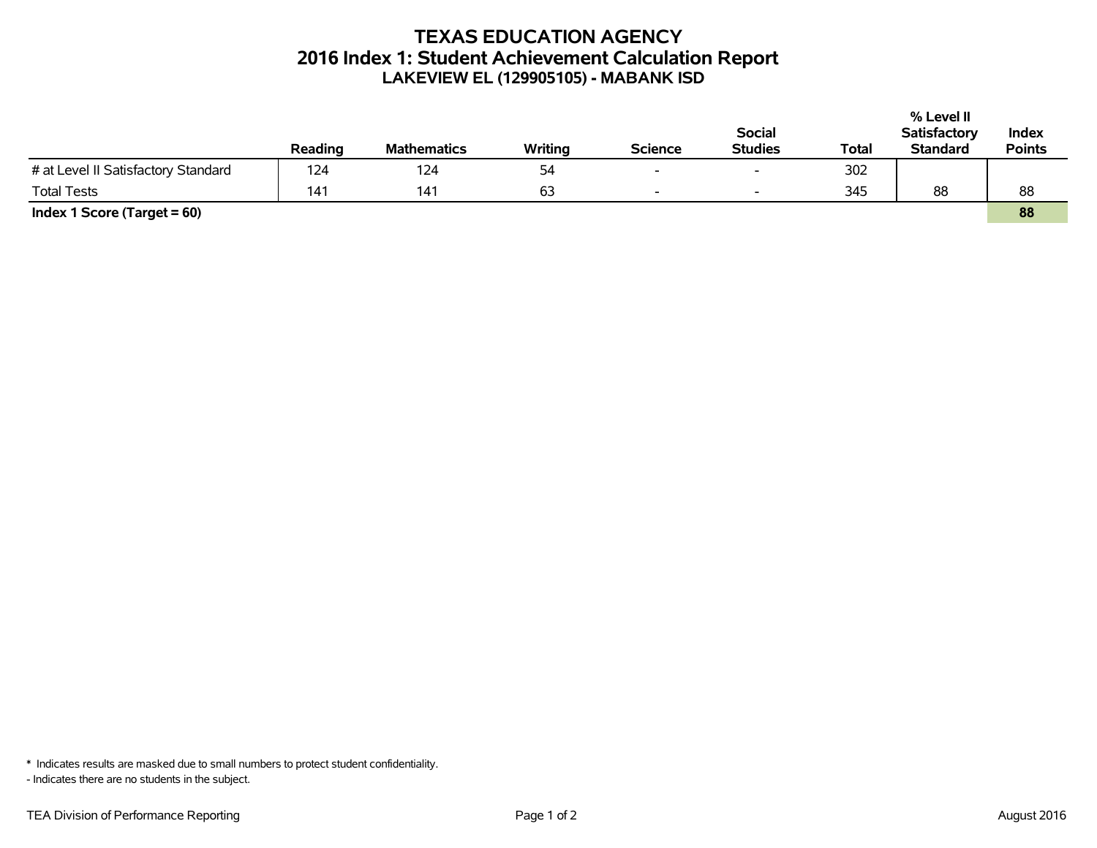# **TEXAS EDUCATION AGENCY 2016 Index 1: Student Achievement Calculation Report LAKEVIEW EL (129905105) - MABANK ISD**

|                                     |         |                    |         |                |                          |       | % Level II          |               |
|-------------------------------------|---------|--------------------|---------|----------------|--------------------------|-------|---------------------|---------------|
|                                     |         |                    |         |                | <b>Social</b>            |       | <b>Satisfactory</b> | Index         |
|                                     | Reading | <b>Mathematics</b> | Writing | <b>Science</b> | <b>Studies</b>           | Total | <b>Standard</b>     | <b>Points</b> |
| # at Level II Satisfactory Standard | 124     | 124                | 54      | $\sim$         | $\overline{\phantom{0}}$ | 302   |                     |               |
| <b>Total Tests</b>                  | 141     | 141                | 63      | $\sim$         | $\overline{\phantom{a}}$ | 345   | 88                  | 88            |
| Index 1 Score (Target $= 60$ )      |         |                    |         |                |                          |       |                     | 88            |

\* Indicates results are masked due to small numbers to protect student confidentiality.

- Indicates there are no students in the subject.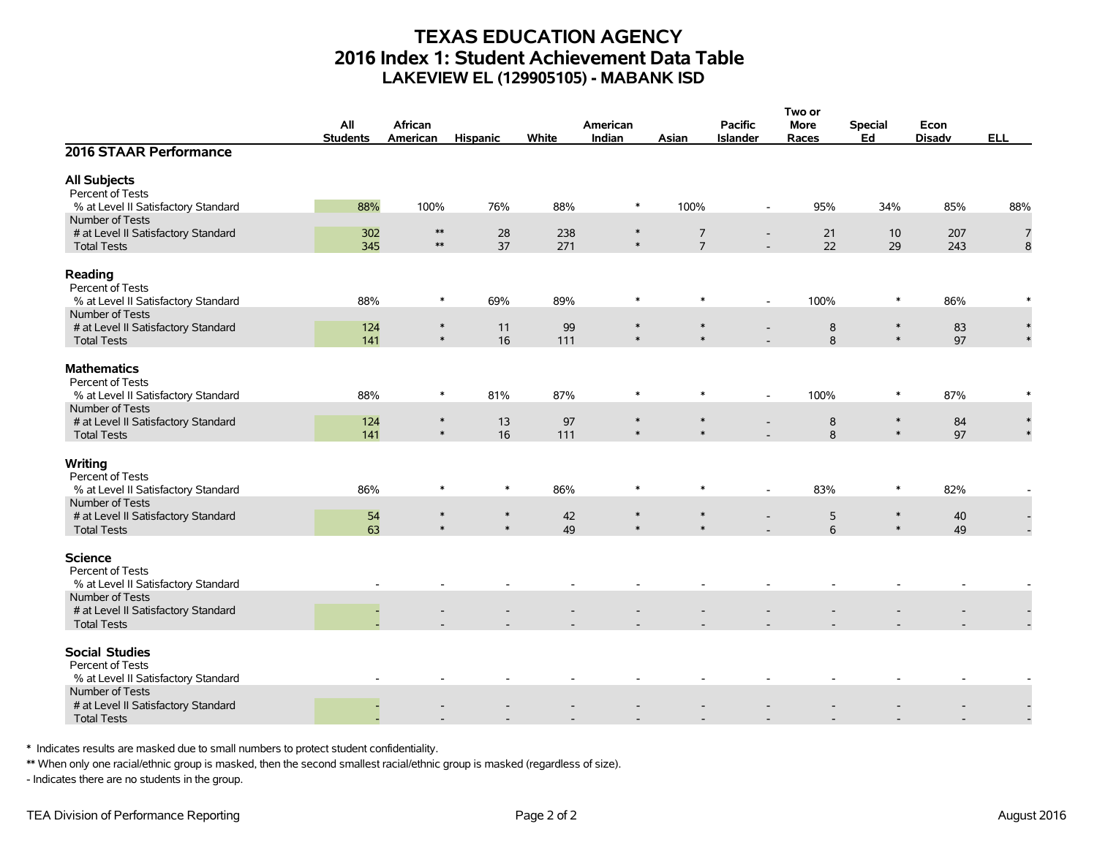# **TEXAS EDUCATION AGENCY 2016 Index 1: Student Achievement Data Table LAKEVIEW EL (129905105) - MABANK ISD**

|                                        |                 |            |                  |       |                  |                  |                          | Two or |                  |               |            |  |
|----------------------------------------|-----------------|------------|------------------|-------|------------------|------------------|--------------------------|--------|------------------|---------------|------------|--|
|                                        | All             | African    |                  |       | American         |                  | <b>Pacific</b>           | More   | <b>Special</b>   | Econ          |            |  |
|                                        | <b>Students</b> | American   | <b>Hispanic</b>  | White | Indian           | Asian            | <b>Islander</b>          | Races  | Ed               | <b>Disadv</b> | <b>ELL</b> |  |
| 2016 STAAR Performance                 |                 |            |                  |       |                  |                  |                          |        |                  |               |            |  |
| <b>All Subjects</b>                    |                 |            |                  |       |                  |                  |                          |        |                  |               |            |  |
| Percent of Tests                       |                 |            |                  |       |                  |                  |                          |        |                  |               |            |  |
| % at Level II Satisfactory Standard    | 88%             | 100%       | 76%              | 88%   | $\ast$           | 100%             | $\overline{\phantom{a}}$ | 95%    | 34%              | 85%           | 88%        |  |
| Number of Tests                        |                 |            |                  |       |                  |                  |                          |        |                  |               |            |  |
| # at Level II Satisfactory Standard    | 302             | $\ast\ast$ | 28               | 238   | $\ast$           | $\overline{7}$   | $\overline{\phantom{a}}$ | 21     | 10               | 207           | 7          |  |
| <b>Total Tests</b>                     | 345             | $\ast\ast$ | 37               | 271   | $\ast$           | $\overline{7}$   |                          | 22     | 29               | 243           | 8          |  |
| Reading<br>Percent of Tests            |                 |            |                  |       |                  |                  |                          |        |                  |               |            |  |
| % at Level II Satisfactory Standard    | 88%             | $\ast$     | 69%              | 89%   | $\ast$           | $\ast$           | $\blacksquare$           | 100%   | $\ast$           | 86%           |            |  |
| Number of Tests                        |                 |            |                  |       |                  |                  |                          |        |                  |               |            |  |
| # at Level II Satisfactory Standard    | 124             | $\ast$     | 11               | 99    | $\ast$           | $\ast$           |                          | 8      | $\ast$           | 83            | $\ast$     |  |
| <b>Total Tests</b>                     | 141             | $\ast$     | 16               | 111   | $\ast$           | $\ast$           |                          | 8      | $\ast$           | 97            |            |  |
|                                        |                 |            |                  |       |                  |                  |                          |        |                  |               |            |  |
| <b>Mathematics</b><br>Percent of Tests |                 |            |                  |       |                  |                  |                          |        |                  |               |            |  |
| % at Level II Satisfactory Standard    | 88%             | $\ast$     | 81%              | 87%   | $\ast$           | $\ast$           | $\sim$                   | 100%   | $\ast$           | 87%           |            |  |
| Number of Tests                        |                 |            |                  |       |                  |                  |                          |        |                  |               |            |  |
| # at Level II Satisfactory Standard    | 124             | $\ast$     | 13               | 97    | $\ast$           | $\ast$           |                          | 8      | $\ast$           | 84            |            |  |
| <b>Total Tests</b>                     | 141             | $\ast$     | 16               | 111   | $\ast$           | $\ast$           |                          | 8      | $\ast$           | 97            |            |  |
|                                        |                 |            |                  |       |                  |                  |                          |        |                  |               |            |  |
| Writing                                |                 |            |                  |       |                  |                  |                          |        |                  |               |            |  |
| Percent of Tests                       |                 |            |                  |       |                  |                  |                          |        |                  |               |            |  |
| % at Level II Satisfactory Standard    | 86%             | $\ast$     | $\ast$           | 86%   | $\ast$           | $\ast$           | $\overline{\phantom{a}}$ | 83%    | $\ast$           | 82%           |            |  |
| Number of Tests                        |                 | $\ast$     |                  |       |                  |                  |                          |        |                  |               |            |  |
| # at Level II Satisfactory Standard    | 54              | $\ast$     | $\ast$<br>$\ast$ | 42    | $\ast$<br>$\ast$ | $\ast$<br>$\ast$ |                          | 5      | $\ast$<br>$\ast$ | 40            |            |  |
| <b>Total Tests</b>                     | 63              |            |                  | 49    |                  |                  |                          | 6      |                  | 49            |            |  |
| <b>Science</b>                         |                 |            |                  |       |                  |                  |                          |        |                  |               |            |  |
| Percent of Tests                       |                 |            |                  |       |                  |                  |                          |        |                  |               |            |  |
| % at Level II Satisfactory Standard    |                 |            |                  |       |                  |                  |                          |        |                  |               |            |  |
| Number of Tests                        |                 |            |                  |       |                  |                  |                          |        |                  |               |            |  |
| # at Level II Satisfactory Standard    |                 |            |                  |       |                  |                  |                          |        |                  |               |            |  |
| <b>Total Tests</b>                     |                 |            |                  |       |                  |                  |                          |        |                  |               |            |  |
| <b>Social Studies</b>                  |                 |            |                  |       |                  |                  |                          |        |                  |               |            |  |
| Percent of Tests                       |                 |            |                  |       |                  |                  |                          |        |                  |               |            |  |
| % at Level II Satisfactory Standard    |                 |            |                  |       |                  |                  |                          |        |                  |               |            |  |
| Number of Tests                        |                 |            |                  |       |                  |                  |                          |        |                  |               |            |  |
| # at Level II Satisfactory Standard    |                 |            |                  |       |                  |                  |                          |        |                  |               |            |  |
| <b>Total Tests</b>                     |                 |            |                  |       |                  |                  |                          |        |                  |               |            |  |
|                                        |                 |            |                  |       |                  |                  |                          |        |                  |               |            |  |

\* Indicates results are masked due to small numbers to protect student confidentiality.

\*\* When only one racial/ethnic group is masked, then the second smallest racial/ethnic group is masked (regardless of size).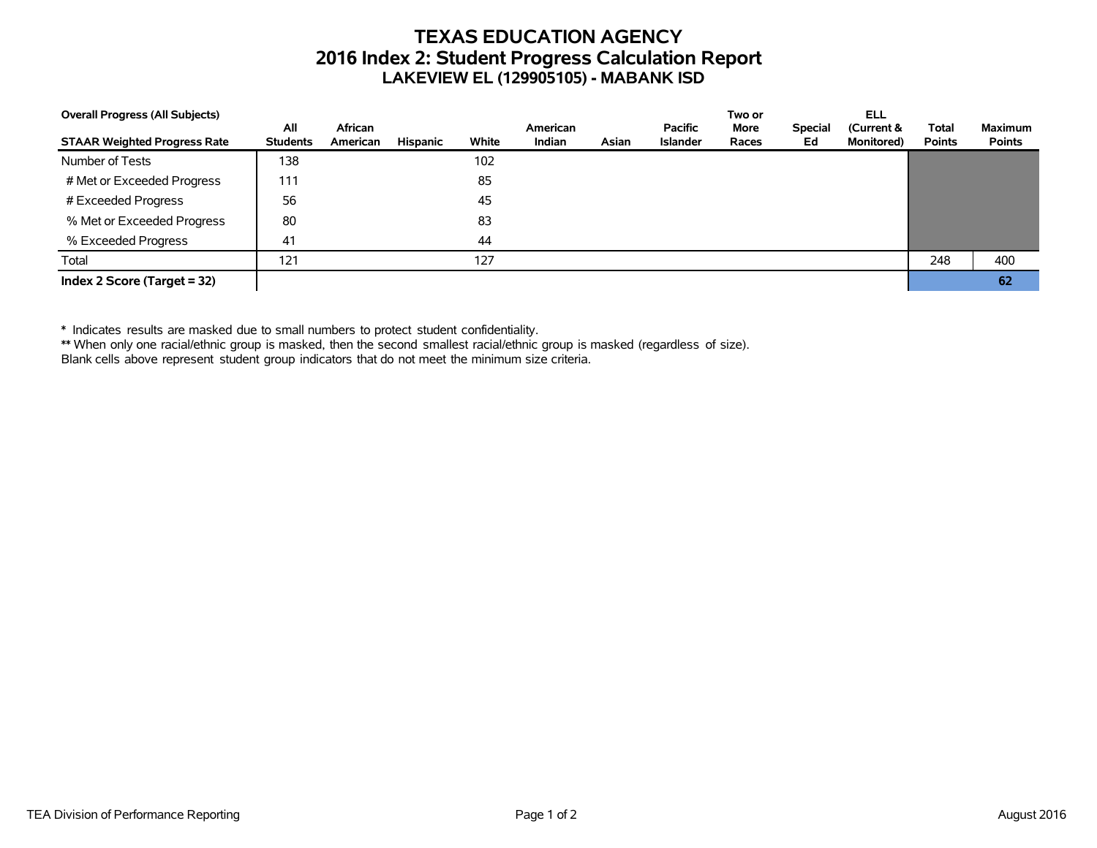# **TEXAS EDUCATION AGENCY 2016 Index 2: Student Progress Calculation Report LAKEVIEW EL (129905105) - MABANK ISD**

| <b>Overall Progress (All Subjects)</b> |                        |                     |          |       |                    |       |                                   | Two or               |                      | <b>ELL</b>                       |                               |                                 |
|----------------------------------------|------------------------|---------------------|----------|-------|--------------------|-------|-----------------------------------|----------------------|----------------------|----------------------------------|-------------------------------|---------------------------------|
| <b>STAAR Weighted Progress Rate</b>    | All<br><b>Students</b> | African<br>American | Hispanic | White | American<br>Indian | Asian | <b>Pacific</b><br><b>Islander</b> | <b>More</b><br>Races | <b>Special</b><br>Ed | (Current &<br><b>Monitored</b> ) | <b>Total</b><br><b>Points</b> | <b>Maximum</b><br><b>Points</b> |
| Number of Tests                        | 138                    |                     |          | 102   |                    |       |                                   |                      |                      |                                  |                               |                                 |
| # Met or Exceeded Progress             | 111                    |                     |          | 85    |                    |       |                                   |                      |                      |                                  |                               |                                 |
| # Exceeded Progress                    | 56                     |                     |          | 45    |                    |       |                                   |                      |                      |                                  |                               |                                 |
| % Met or Exceeded Progress             | 80                     |                     |          | 83    |                    |       |                                   |                      |                      |                                  |                               |                                 |
| % Exceeded Progress                    | 41                     |                     |          | 44    |                    |       |                                   |                      |                      |                                  |                               |                                 |
| Total                                  | 121                    |                     |          | 127   |                    |       |                                   |                      |                      |                                  | 248                           | 400                             |
| Index 2 Score (Target $=$ 32)          |                        |                     |          |       |                    |       |                                   |                      |                      |                                  |                               | 62                              |

\* Indicates results are masked due to small numbers to protect student confidentiality.

\*\* When only one racial/ethnic group is masked, then the second smallest racial/ethnic group is masked (regardless of size).

Blank cells above represent student group indicators that do not meet the minimum size criteria.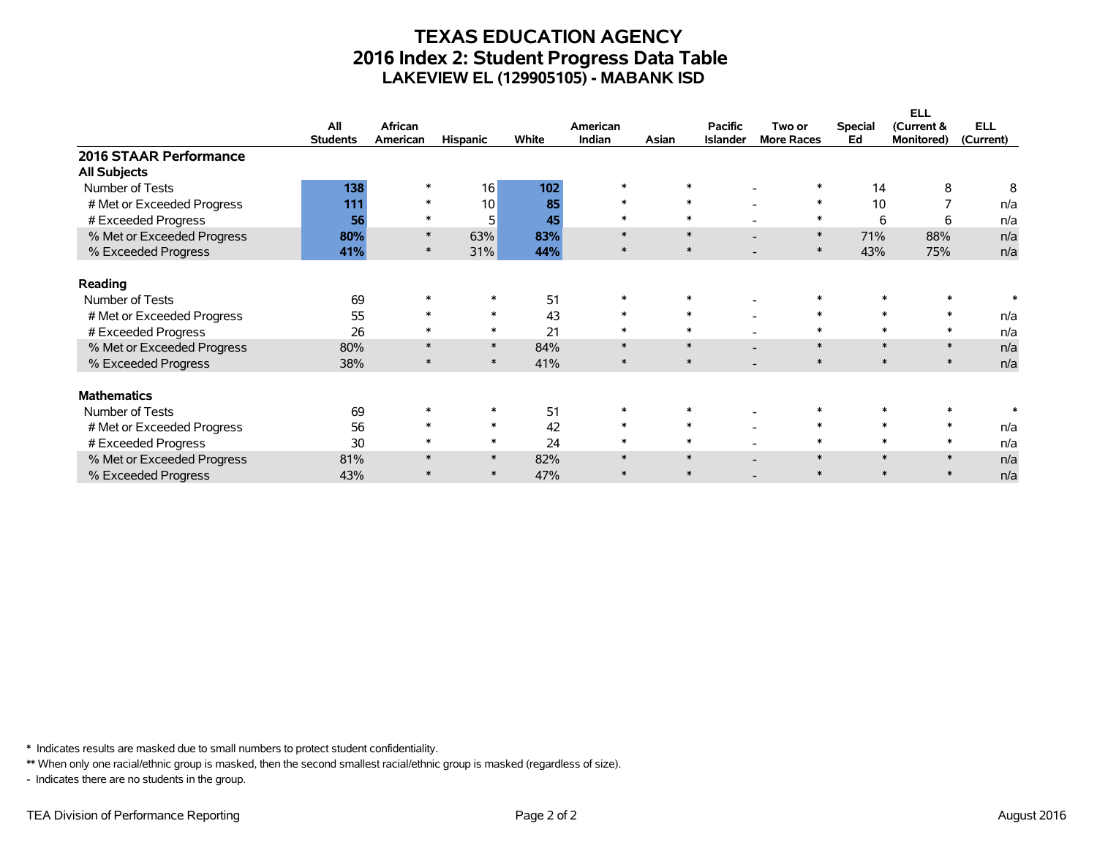# **TEXAS EDUCATION AGENCY 2016 Index 2: Student Progress Data Table LAKEVIEW EL (129905105) - MABANK ISD**

|                            |                 |          |                 |       |          |        |                 |                   |                | <b>ELL</b>        |            |
|----------------------------|-----------------|----------|-----------------|-------|----------|--------|-----------------|-------------------|----------------|-------------------|------------|
|                            | All             | African  |                 |       | American |        | <b>Pacific</b>  | Two or            | <b>Special</b> | (Current &        | <b>ELL</b> |
|                            | <b>Students</b> | American | <b>Hispanic</b> | White | Indian   | Asian  | <b>Islander</b> | <b>More Races</b> | Ed             | <b>Monitored)</b> | (Current)  |
| 2016 STAAR Performance     |                 |          |                 |       |          |        |                 |                   |                |                   |            |
| <b>All Subjects</b>        |                 |          |                 |       |          |        |                 |                   |                |                   |            |
| Number of Tests            | 138             |          | 16              | 102   | $\ast$   |        |                 |                   | 14             | 8                 | 8          |
| # Met or Exceeded Progress | 111             | $\ast$   | 10              | 85    | $\ast$   | $\ast$ |                 | $\ast$            | 10             |                   | n/a        |
| # Exceeded Progress        | 56              |          | 5               | 45    | $\ast$   | *      |                 | $\ast$            | 6              | 6                 | n/a        |
| % Met or Exceeded Progress | 80%             | $\ast$   | 63%             | 83%   | $\ast$   | $\ast$ |                 | $\ast$            | 71%            | 88%               | n/a        |
| % Exceeded Progress        | 41%             | $\ast$   | 31%             | 44%   | $\ast$   | $\ast$ |                 | $\ast$            | 43%            | 75%               | n/a        |
| Reading                    |                 |          |                 |       |          |        |                 |                   |                |                   |            |
| Number of Tests            | 69              |          |                 | 51    | $\ast$   |        |                 |                   |                |                   |            |
| # Met or Exceeded Progress | 55              |          | $\ast$          | 43    | $\ast$   | $\ast$ |                 | $\ast$            |                | $\ast$            | n/a        |
|                            | 26              |          | $\ast$          | 21    | $\ast$   | $\ast$ |                 | $\ast$            |                | $\ast$            |            |
| # Exceeded Progress        |                 |          | $\ast$          |       | $\ast$   | $\ast$ |                 | $\ast$            | $\ast$         | $\ast$            | n/a        |
| % Met or Exceeded Progress | 80%             |          | $\ast$          | 84%   | $\ast$   | $\ast$ |                 | $\ast$            | $\ast$         | $\ast$            | n/a        |
| % Exceeded Progress        | 38%             |          |                 | 41%   |          |        |                 |                   |                |                   | n/a        |
| <b>Mathematics</b>         |                 |          |                 |       |          |        |                 |                   |                |                   |            |
| Number of Tests            | 69              |          |                 | 51    | $\ast$   |        |                 |                   |                |                   |            |
| # Met or Exceeded Progress | 56              |          | $\ast$          | 42    | $\ast$   | $\ast$ |                 | $\ast$            |                | $\ast$            | n/a        |
| # Exceeded Progress        | 30              |          | $\ast$          | 24    | $\ast$   | $\ast$ |                 | $\ast$            |                | $\ast$            | n/a        |
| % Met or Exceeded Progress | 81%             |          | $\ast$          | 82%   | $\ast$   | $\ast$ |                 | $\ast$            |                | $\ast$            | n/a        |
| % Exceeded Progress        | 43%             |          | $\ast$          | 47%   | $\star$  | $\ast$ |                 | $\ast$            |                | $\ast$            | n/a        |

\* Indicates results are masked due to small numbers to protect student confidentiality.

\*\* When only one racial/ethnic group is masked, then the second smallest racial/ethnic group is masked (regardless of size).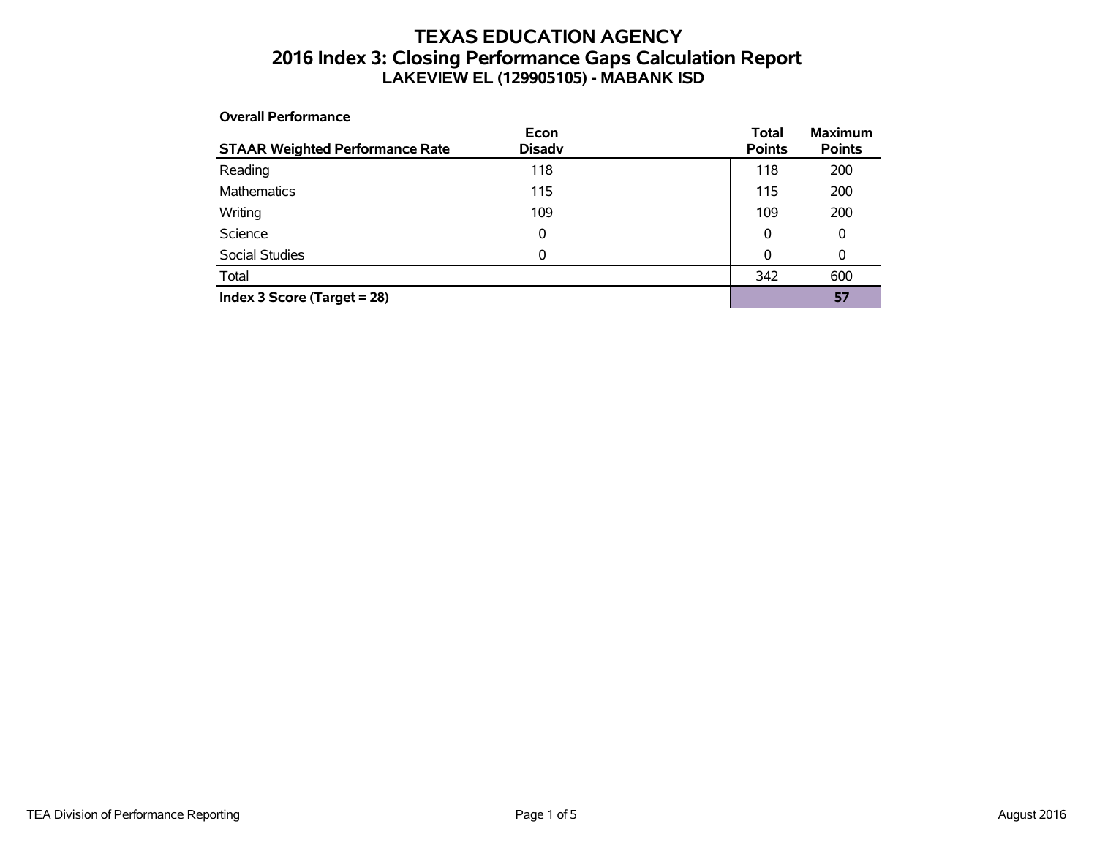# **TEXAS EDUCATION AGENCY 2016 Index 3: Closing Performance Gaps Calculation Report LAKEVIEW EL (129905105) - MABANK ISD**

**Overall Performance**

| <b>STAAR Weighted Performance Rate</b> | Econ<br><b>Disadv</b> | <b>Total</b><br><b>Points</b> | <b>Maximum</b><br><b>Points</b> |
|----------------------------------------|-----------------------|-------------------------------|---------------------------------|
| Reading                                | 118                   | 118                           | 200                             |
| <b>Mathematics</b>                     | 115                   | 115                           | 200                             |
| Writing                                | 109                   | 109                           | 200                             |
| Science                                | 0                     | 0                             | 0                               |
| <b>Social Studies</b>                  | 0                     | 0                             | 0                               |
| Total                                  |                       | 342                           | 600                             |
| Index 3 Score (Target $= 28$ )         |                       |                               | 57                              |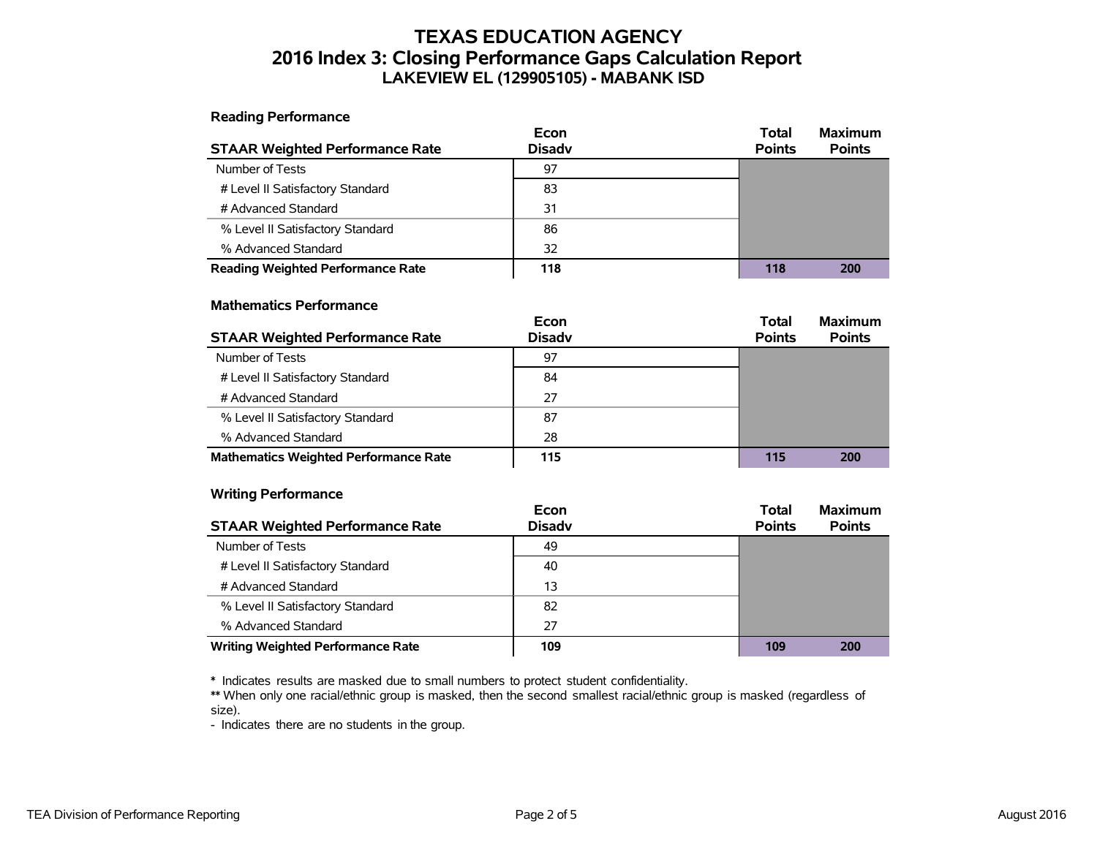# **TEXAS EDUCATION AGENCY 2016 Index 3: Closing Performance Gaps Calculation Report LAKEVIEW EL (129905105) - MABANK ISD**

**Reading Performance**

|                                          | Econ          | <b>Total</b>  | <b>Maximum</b> |
|------------------------------------------|---------------|---------------|----------------|
| <b>STAAR Weighted Performance Rate</b>   | <b>Disadv</b> | <b>Points</b> | <b>Points</b>  |
| Number of Tests                          | 97            |               |                |
| # Level II Satisfactory Standard         | 83            |               |                |
| # Advanced Standard                      | 31            |               |                |
| % Level II Satisfactory Standard         | 86            |               |                |
| % Advanced Standard                      | 32            |               |                |
| <b>Reading Weighted Performance Rate</b> | 118           | 118           | 200            |

#### **Mathematics Performance**

|                                              | Econ          | <b>Total</b>  | <b>Maximum</b> |
|----------------------------------------------|---------------|---------------|----------------|
| <b>STAAR Weighted Performance Rate</b>       | <b>Disadv</b> | <b>Points</b> | <b>Points</b>  |
| Number of Tests                              | 97            |               |                |
| # Level II Satisfactory Standard             | 84            |               |                |
| # Advanced Standard                          | 27            |               |                |
| % Level II Satisfactory Standard             | 87            |               |                |
| % Advanced Standard                          | 28            |               |                |
| <b>Mathematics Weighted Performance Rate</b> | 115           | 115           | 200            |

#### **Writing Performance**

|                                          | Econ          | <b>Total</b>  | <b>Maximum</b> |
|------------------------------------------|---------------|---------------|----------------|
| <b>STAAR Weighted Performance Rate</b>   | <b>Disadv</b> | <b>Points</b> | <b>Points</b>  |
| Number of Tests                          | 49            |               |                |
| # Level II Satisfactory Standard         | 40            |               |                |
| # Advanced Standard                      | 13            |               |                |
| % Level II Satisfactory Standard         | 82            |               |                |
| % Advanced Standard                      | 27            |               |                |
| <b>Writing Weighted Performance Rate</b> | 109           | 109           | 200            |

\* Indicates results are masked due to small numbers to protect student confidentiality.

\*\* When only one racial/ethnic group is masked, then the second smallest racial/ethnic group is masked (regardless of size).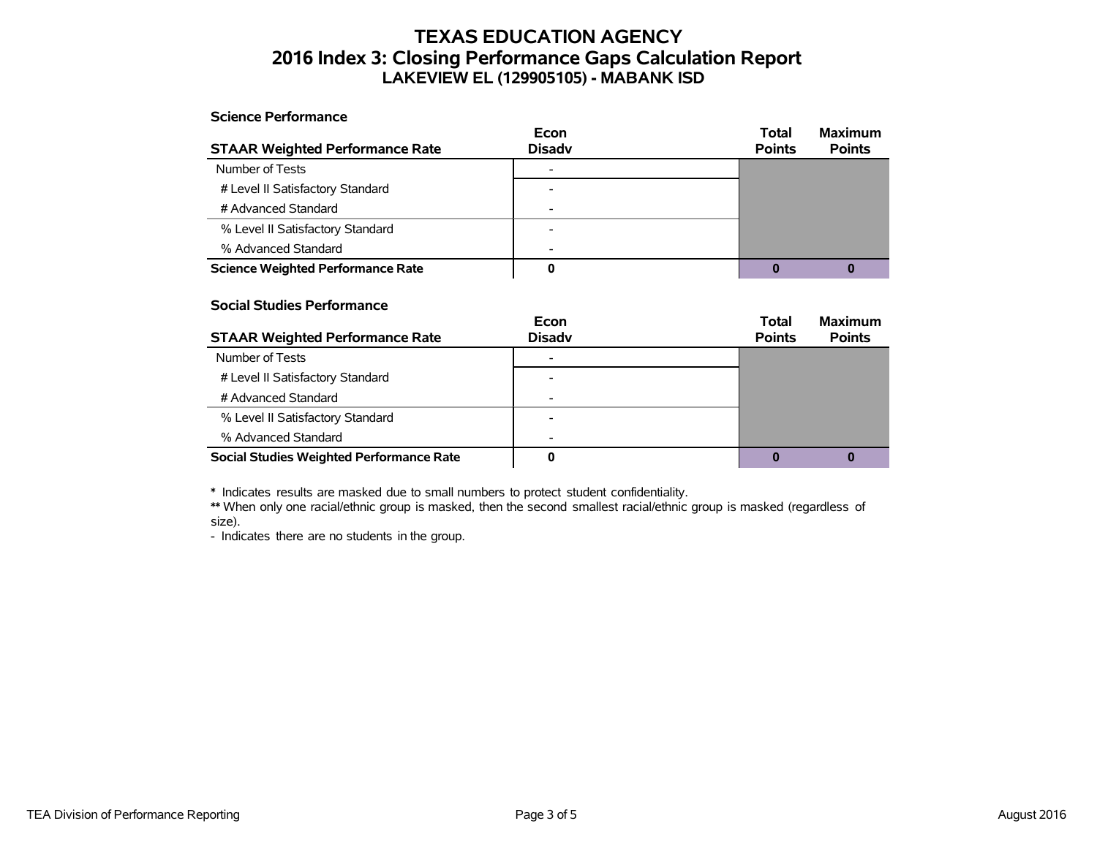# **TEXAS EDUCATION AGENCY 2016 Index 3: Closing Performance Gaps Calculation Report LAKEVIEW EL (129905105) - MABANK ISD**

#### **Science Performance**

|                                          | Econ                     | Total         | <b>Maximum</b> |
|------------------------------------------|--------------------------|---------------|----------------|
| <b>STAAR Weighted Performance Rate</b>   | <b>Disadv</b>            | <b>Points</b> | <b>Points</b>  |
| Number of Tests                          |                          |               |                |
| # Level II Satisfactory Standard         |                          |               |                |
| # Advanced Standard                      | $\overline{\phantom{a}}$ |               |                |
| % Level II Satisfactory Standard         |                          |               |                |
| % Advanced Standard                      | $\overline{\phantom{0}}$ |               |                |
| <b>Science Weighted Performance Rate</b> |                          |               |                |

#### **Social Studies Performance**

|                                          | Econ                     | <b>Total</b>  | <b>Maximum</b> |
|------------------------------------------|--------------------------|---------------|----------------|
| <b>STAAR Weighted Performance Rate</b>   | <b>Disadv</b>            | <b>Points</b> | <b>Points</b>  |
| Number of Tests                          |                          |               |                |
| # Level II Satisfactory Standard         |                          |               |                |
| # Advanced Standard                      | $\overline{\phantom{0}}$ |               |                |
| % Level II Satisfactory Standard         |                          |               |                |
| % Advanced Standard                      | $\overline{\phantom{a}}$ |               |                |
| Social Studies Weighted Performance Rate |                          |               |                |

\* Indicates results are masked due to small numbers to protect student confidentiality.

\*\* When only one racial/ethnic group is masked, then the second smallest racial/ethnic group is masked (regardless of size).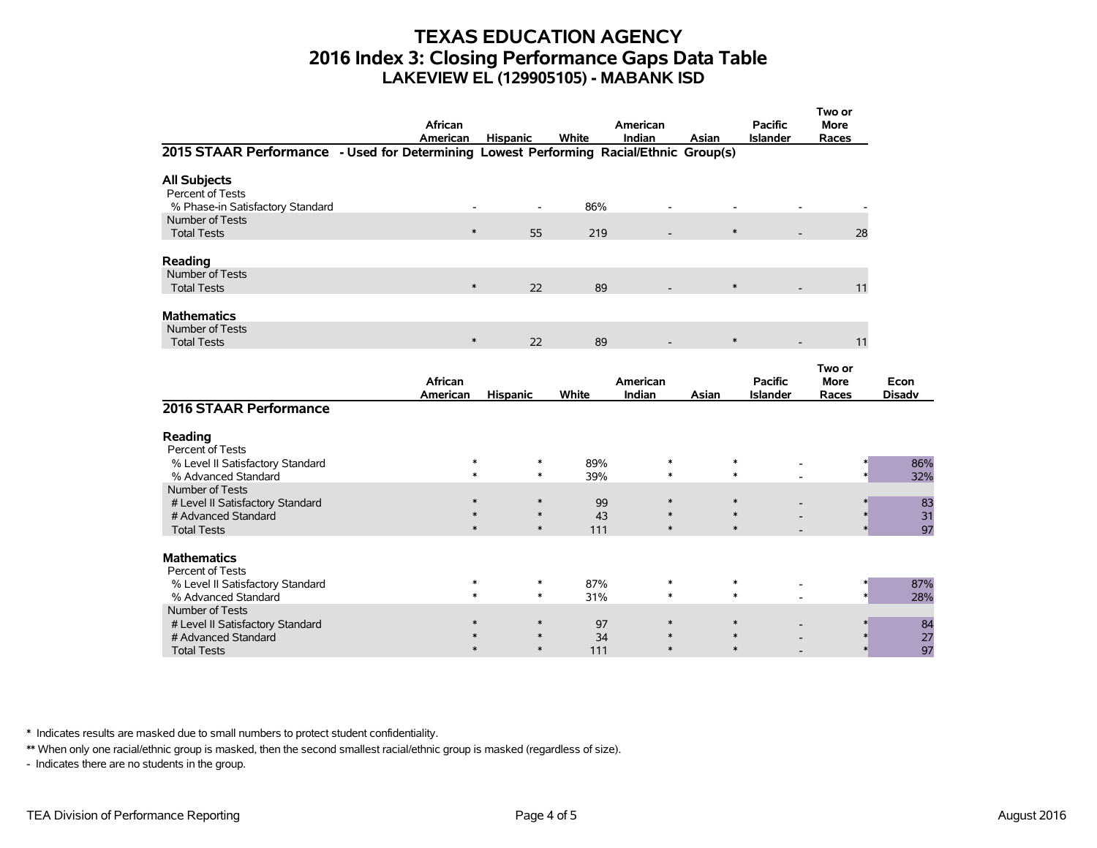### **TEXAS EDUCATION AGENCY 2016 Index 3: Closing Performance Gaps Data Table LAKEVIEW EL (129905105) - MABANK ISD**

|                                                                                        | African<br>American | <b>Hispanic</b>          | White      | American<br>Indian | Asian            | <b>Pacific</b><br><b>Islander</b> | Two or<br><b>More</b><br>Races |               |
|----------------------------------------------------------------------------------------|---------------------|--------------------------|------------|--------------------|------------------|-----------------------------------|--------------------------------|---------------|
| 2015 STAAR Performance - Used for Determining Lowest Performing Racial/Ethnic Group(s) |                     |                          |            |                    |                  |                                   |                                |               |
| <b>All Subjects</b><br>Percent of Tests<br>% Phase-in Satisfactory Standard            |                     | $\overline{\phantom{a}}$ | 86%        |                    |                  |                                   |                                |               |
| Number of Tests<br><b>Total Tests</b>                                                  | $\ast$              | 55                       | 219        |                    | $\ast$           |                                   | 28                             |               |
| Reading<br>Number of Tests                                                             |                     |                          |            |                    |                  |                                   |                                |               |
| <b>Total Tests</b>                                                                     | $\ast$              | 22                       | 89         |                    | $\ast$           |                                   | 11                             |               |
| <b>Mathematics</b><br>Number of Tests                                                  |                     |                          |            |                    |                  |                                   |                                |               |
| <b>Total Tests</b>                                                                     | $\ast$              | 22                       | 89         |                    | $\ast$           |                                   | 11                             |               |
|                                                                                        | African             |                          |            | American           |                  | <b>Pacific</b>                    | Two or<br><b>More</b>          | Econ          |
| 2016 STAAR Performance                                                                 | American            | <b>Hispanic</b>          | White      | Indian             | Asian            | <b>Islander</b>                   | Races                          | <b>Disadv</b> |
| Reading<br>Percent of Tests                                                            |                     |                          |            |                    |                  |                                   |                                |               |
| % Level II Satisfactory Standard<br>% Advanced Standard                                | $\ast$<br>$\ast$    | ∗<br>$\ast$              | 89%<br>39% | $\ast$<br>$\ast$   | $\ast$<br>$\ast$ |                                   |                                | 86%<br>32%    |
| Number of Tests<br># Level II Satisfactory Standard<br># Advanced Standard             | $\ast$<br>$\ast$    | $\ast$<br>$\ast$         | 99<br>43   | $\ast$<br>$\ast$   | $\ast$<br>$\ast$ |                                   |                                | 83<br>31      |
| <b>Total Tests</b>                                                                     | $\ast$              | $\ast$                   | 111        | $\ast$             | $\ast$           |                                   |                                | 97            |
| <b>Mathematics</b><br>Percent of Tests                                                 |                     |                          |            |                    |                  |                                   |                                |               |
| % Level II Satisfactory Standard<br>% Advanced Standard                                | $\ast$<br>$\ast$    | $\ast$<br>$\ast$         | 87%<br>31% | $\ast$<br>$\ast$   | $\ast$<br>$\ast$ |                                   |                                | 87%<br>28%    |
| Number of Tests<br># Level II Satisfactory Standard<br># Advanced Standard             | $\ast$              | ∗<br>$\ast$              | 97<br>34   | $\ast$             | $\ast$<br>$\ast$ |                                   |                                | 84<br>27      |
| <b>Total Tests</b>                                                                     | $\ast$              | $\ast$                   | 111        | $\ast$             | $\ast$           |                                   |                                | 97            |

\* Indicates results are masked due to small numbers to protect student confidentiality.

\*\* When only one racial/ethnic group is masked, then the second smallest racial/ethnic group is masked (regardless of size).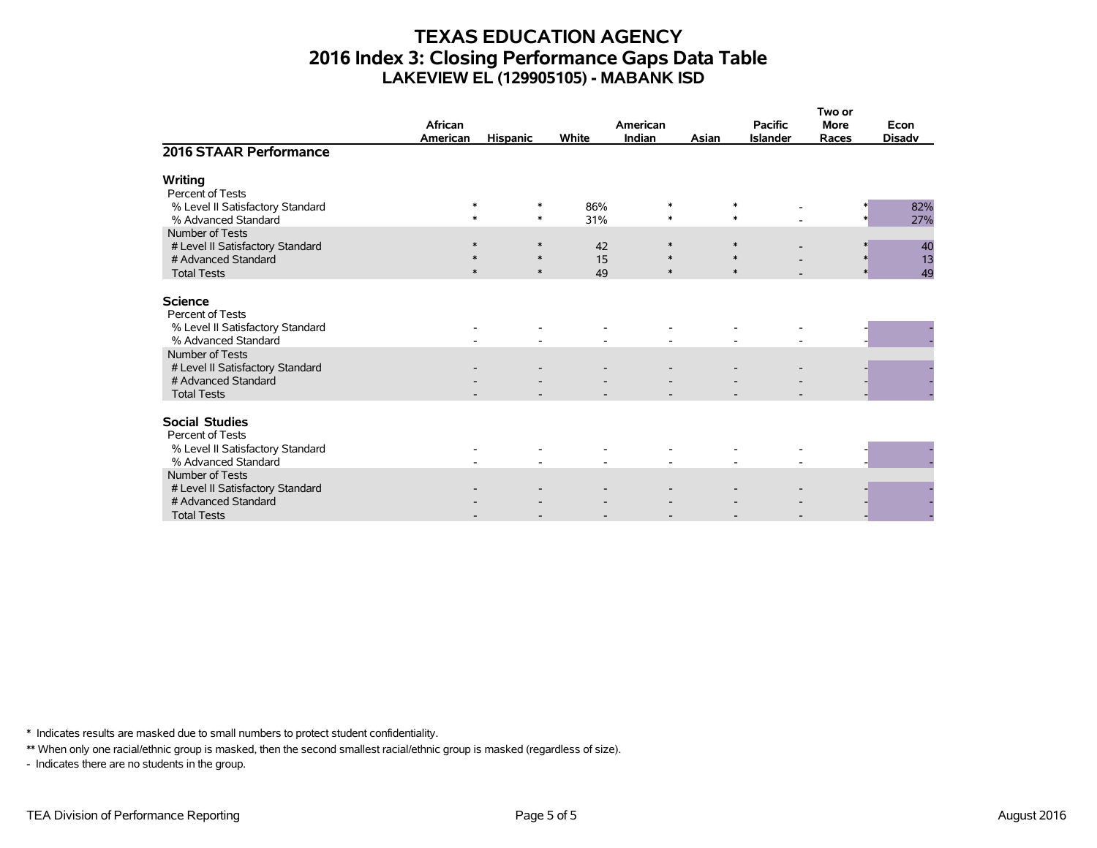# **TEXAS EDUCATION AGENCY 2016 Index 3: Closing Performance Gaps Data Table LAKEVIEW EL (129905105) - MABANK ISD**

|                                                         | African          |                  |            | American         |       | <b>Pacific</b>   | Two or<br><b>More</b> | Econ          |
|---------------------------------------------------------|------------------|------------------|------------|------------------|-------|------------------|-----------------------|---------------|
|                                                         | <b>American</b>  | <b>Hispanic</b>  | White      | <b>Indian</b>    | Asian | <b>Islander</b>  | Races                 | <b>Disadv</b> |
| 2016 STAAR Performance                                  |                  |                  |            |                  |       |                  |                       |               |
| Writing<br>Percent of Tests                             |                  |                  |            |                  |       |                  |                       |               |
| % Level II Satisfactory Standard<br>% Advanced Standard | $\ast$<br>$\ast$ | ∗<br>$\ast$      | 86%<br>31% | $\ast$<br>$\ast$ |       | $\ast$<br>$\ast$ |                       | 82%<br>27%    |
| Number of Tests<br># Level II Satisfactory Standard     | $\ast$           | $\ast$           | 42         | $\ast$           |       | $\ast$           |                       | 40            |
| # Advanced Standard<br><b>Total Tests</b>               | $\ast$<br>$\ast$ | $\ast$<br>$\ast$ | 15<br>49   | $\ast$<br>$\ast$ |       | $\ast$<br>$\ast$ | $\ast$                | 13<br>49      |
|                                                         |                  |                  |            |                  |       |                  |                       |               |
| <b>Science</b><br>Percent of Tests                      |                  |                  |            |                  |       |                  |                       |               |
| % Level II Satisfactory Standard<br>% Advanced Standard |                  |                  |            |                  |       |                  |                       |               |
| Number of Tests<br># Level II Satisfactory Standard     |                  |                  |            |                  |       |                  |                       |               |
| # Advanced Standard<br><b>Total Tests</b>               |                  |                  |            |                  |       |                  |                       |               |
|                                                         |                  |                  |            |                  |       |                  |                       |               |
| <b>Social Studies</b><br>Percent of Tests               |                  |                  |            |                  |       |                  |                       |               |
| % Level II Satisfactory Standard<br>% Advanced Standard |                  |                  |            |                  |       |                  |                       |               |
| Number of Tests                                         |                  |                  |            |                  |       |                  |                       |               |
| # Level II Satisfactory Standard<br># Advanced Standard |                  |                  |            |                  |       |                  |                       |               |
| <b>Total Tests</b>                                      |                  |                  |            |                  |       |                  |                       |               |

\* Indicates results are masked due to small numbers to protect student confidentiality.

\*\* When only one racial/ethnic group is masked, then the second smallest racial/ethnic group is masked (regardless of size).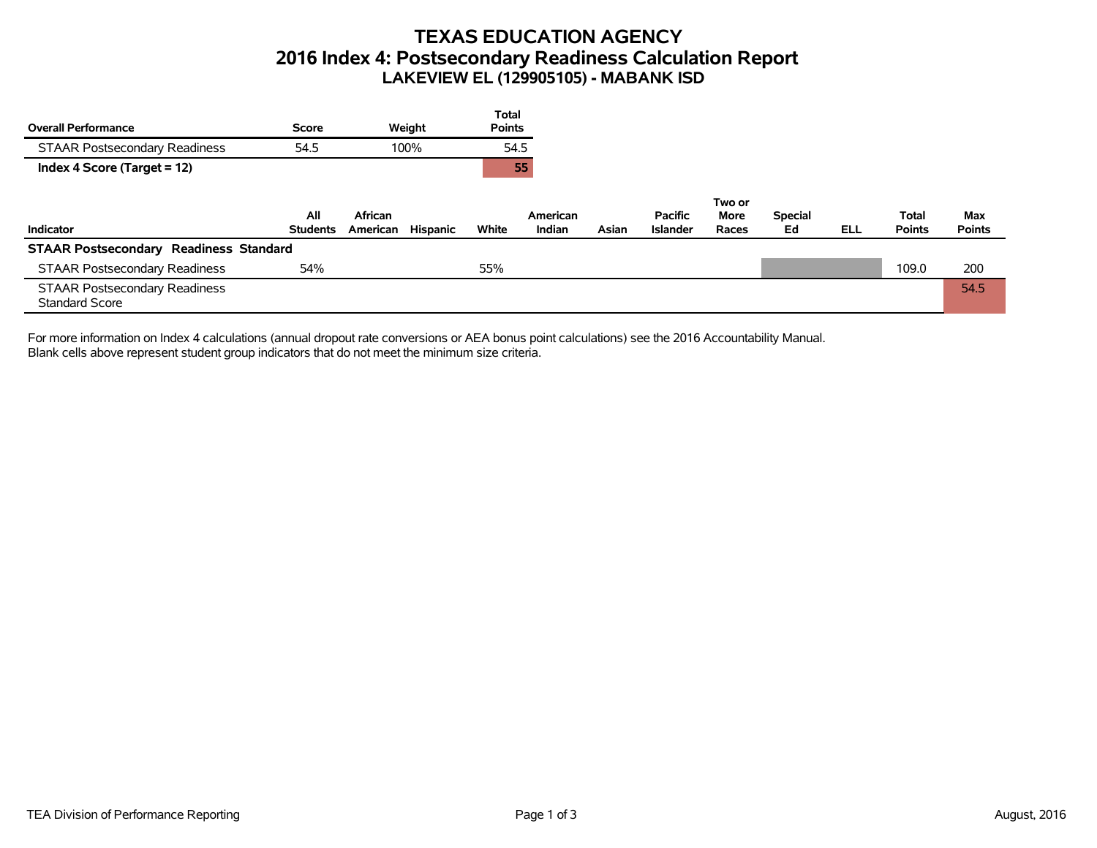# **TEXAS EDUCATION AGENCY 2016 Index 4: Postsecondary Readiness Calculation Report LAKEVIEW EL (129905105) - MABANK ISD**

| <b>Overall Performance</b>                                    | <b>Score</b>           | Weight                          | <b>Total</b><br><b>Points</b> |                    |       |                                   |                                |                      |            |                               |                      |
|---------------------------------------------------------------|------------------------|---------------------------------|-------------------------------|--------------------|-------|-----------------------------------|--------------------------------|----------------------|------------|-------------------------------|----------------------|
| <b>STAAR Postsecondary Readiness</b>                          | 54.5                   | 100%                            | 54.5                          |                    |       |                                   |                                |                      |            |                               |                      |
| Index 4 Score (Target = 12)                                   |                        |                                 | 55                            |                    |       |                                   |                                |                      |            |                               |                      |
| Indicator                                                     | All<br><b>Students</b> | African<br>Hispanic<br>American | White                         | American<br>Indian | Asian | <b>Pacific</b><br><b>Islander</b> | Two or<br><b>More</b><br>Races | <b>Special</b><br>Ed | <b>ELL</b> | <b>Total</b><br><b>Points</b> | Max<br><b>Points</b> |
| <b>STAAR Postsecondary Readiness Standard</b>                 |                        |                                 |                               |                    |       |                                   |                                |                      |            |                               |                      |
| <b>STAAR Postsecondary Readiness</b>                          | 54%                    |                                 | 55%                           |                    |       |                                   |                                |                      |            | 109.0                         | 200                  |
| <b>STAAR Postsecondary Readiness</b><br><b>Standard Score</b> |                        |                                 |                               |                    |       |                                   |                                |                      |            |                               | 54.5                 |

For more information on Index 4 calculations (annual dropout rate conversions or AEA bonus point calculations) see the 2016 Accountability Manual. Blank cells above represent student group indicators that do not meet the minimum size criteria.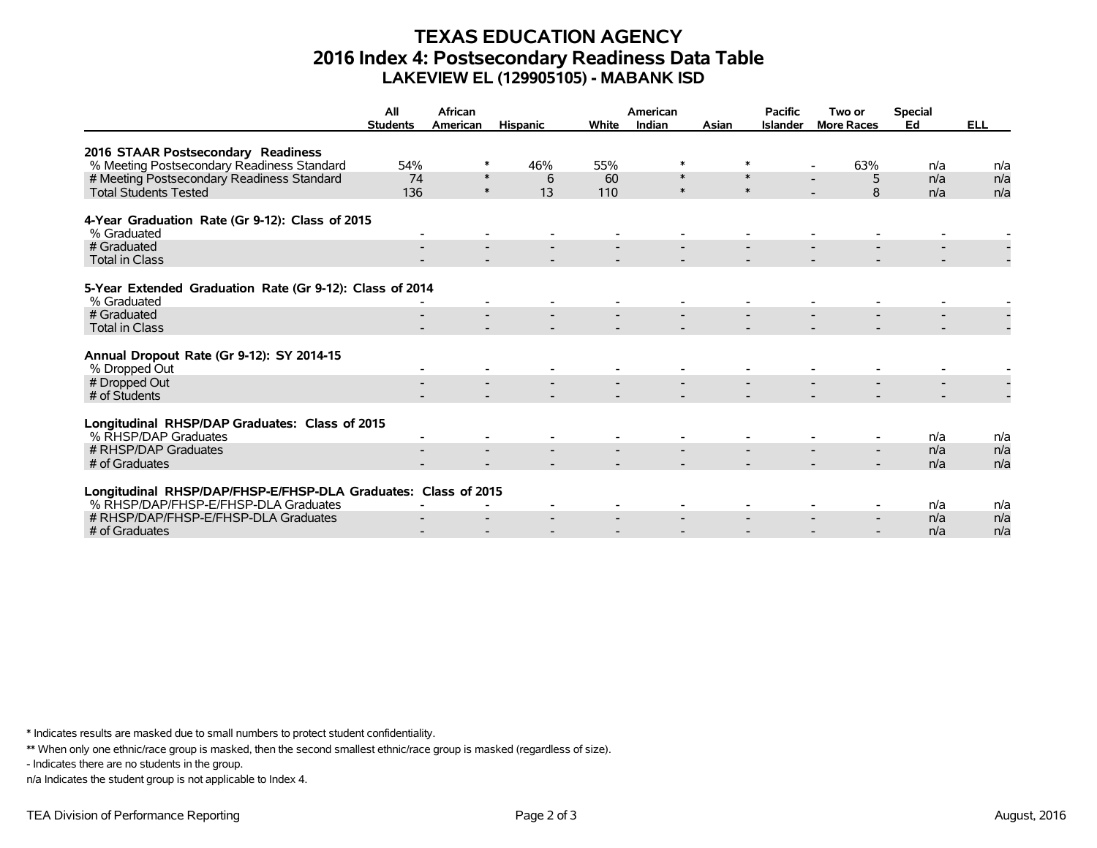# **TEXAS EDUCATION AGENCY 2016 Index 4: Postsecondary Readiness Data Table LAKEVIEW EL (129905105) - MABANK ISD**

|                                                                | All<br><b>Students</b> | African<br>American | <b>Hispanic</b> | White | American<br>Indian | Asian  | <b>Pacific</b><br><b>Islander</b> | Two or<br><b>More Races</b> | <b>Special</b><br>Ed | <b>ELL</b> |
|----------------------------------------------------------------|------------------------|---------------------|-----------------|-------|--------------------|--------|-----------------------------------|-----------------------------|----------------------|------------|
|                                                                |                        |                     |                 |       |                    |        |                                   |                             |                      |            |
| 2016 STAAR Postsecondary Readiness                             |                        |                     |                 |       |                    |        |                                   |                             |                      |            |
| % Meeting Postsecondary Readiness Standard                     | 54%                    | ∗                   | 46%             | 55%   | $\ast$             | $\ast$ |                                   | 63%                         | n/a                  | n/a        |
| # Meeting Postsecondary Readiness Standard                     | 74                     | $\ast$              | 6               | 60    | $\ast$             | $\ast$ |                                   | 5                           | n/a                  | n/a        |
| <b>Total Students Tested</b>                                   | 136                    | $\ast$              | 13              | 110   | $\ast$             | $\ast$ |                                   | 8                           | n/a                  | n/a        |
| 4-Year Graduation Rate (Gr 9-12): Class of 2015                |                        |                     |                 |       |                    |        |                                   |                             |                      |            |
| % Graduated                                                    |                        |                     |                 |       |                    |        |                                   |                             |                      |            |
| # Graduated                                                    |                        |                     |                 |       |                    |        |                                   |                             |                      |            |
| <b>Total in Class</b>                                          |                        |                     |                 |       |                    |        |                                   |                             |                      |            |
| 5-Year Extended Graduation Rate (Gr 9-12): Class of 2014       |                        |                     |                 |       |                    |        |                                   |                             |                      |            |
| % Graduated                                                    |                        |                     |                 |       |                    |        |                                   |                             |                      |            |
| # Graduated                                                    |                        |                     |                 |       |                    |        |                                   |                             |                      |            |
| <b>Total in Class</b>                                          |                        |                     |                 |       |                    |        |                                   |                             |                      |            |
|                                                                |                        |                     |                 |       |                    |        |                                   |                             |                      |            |
| Annual Dropout Rate (Gr 9-12): SY 2014-15                      |                        |                     |                 |       |                    |        |                                   |                             |                      |            |
| % Dropped Out                                                  |                        |                     |                 |       |                    |        |                                   |                             |                      |            |
| # Dropped Out<br># of Students                                 |                        |                     |                 |       |                    |        |                                   |                             |                      |            |
|                                                                |                        |                     |                 |       |                    |        |                                   |                             |                      |            |
| Longitudinal RHSP/DAP Graduates: Class of 2015                 |                        |                     |                 |       |                    |        |                                   |                             |                      |            |
| % RHSP/DAP Graduates                                           |                        |                     |                 |       |                    |        |                                   |                             | n/a                  | n/a        |
| # RHSP/DAP Graduates                                           |                        |                     |                 |       |                    |        |                                   |                             | n/a                  | n/a        |
| # of Graduates                                                 |                        |                     |                 |       |                    |        |                                   |                             | n/a                  | n/a        |
|                                                                |                        |                     |                 |       |                    |        |                                   |                             |                      |            |
| Longitudinal RHSP/DAP/FHSP-E/FHSP-DLA Graduates: Class of 2015 |                        |                     |                 |       |                    |        |                                   |                             |                      |            |
| % RHSP/DAP/FHSP-E/FHSP-DLA Graduates                           |                        |                     |                 |       |                    |        |                                   |                             | n/a                  | n/a        |
| # RHSP/DAP/FHSP-E/FHSP-DLA Graduates                           |                        |                     |                 |       |                    |        |                                   |                             | n/a                  | n/a        |
| # of Graduates                                                 |                        |                     |                 |       |                    |        |                                   |                             | n/a                  | n/a        |

\* Indicates results are masked due to small numbers to protect student confidentiality.

\*\* When only one ethnic/race group is masked, then the second smallest ethnic/race group is masked (regardless of size).

- Indicates there are no students in the group.

n/a Indicates the student group is not applicable to Index 4.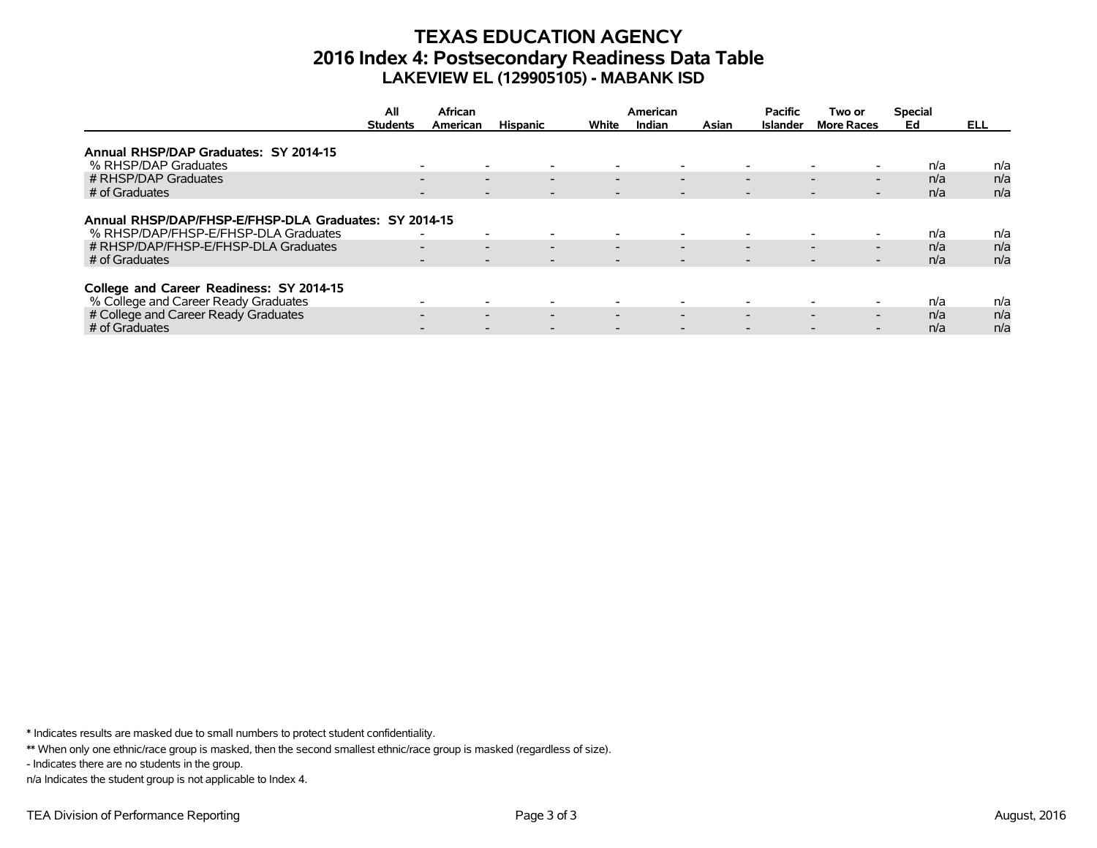# **TEXAS EDUCATION AGENCY 2016 Index 4: Postsecondary Readiness Data Table LAKEVIEW EL (129905105) - MABANK ISD**

|                                                                                                                                                         | All                                            | African                                                                                                                                                              |                          |                                                      | American                                                                         |  | <b>Pacific</b>                                                                   | Two or                                                                                | <b>Special</b>    |                   |
|---------------------------------------------------------------------------------------------------------------------------------------------------------|------------------------------------------------|----------------------------------------------------------------------------------------------------------------------------------------------------------------------|--------------------------|------------------------------------------------------|----------------------------------------------------------------------------------|--|----------------------------------------------------------------------------------|---------------------------------------------------------------------------------------|-------------------|-------------------|
|                                                                                                                                                         | <b>Students</b><br><b>Hispanic</b><br>American |                                                                                                                                                                      | White                    | Indian                                               | Asian                                                                            |  | <b>More Races</b>                                                                | Ed                                                                                    | ELL.              |                   |
| Annual RHSP/DAP Graduates: SY 2014-15                                                                                                                   |                                                |                                                                                                                                                                      |                          |                                                      |                                                                                  |  |                                                                                  |                                                                                       |                   |                   |
| % RHSP/DAP Graduates                                                                                                                                    |                                                | $\overline{\phantom{0}}$                                                                                                                                             |                          |                                                      | $\overline{\phantom{0}}$                                                         |  | $\overline{\phantom{a}}$                                                         |                                                                                       | n/a               | n/a               |
| # RHSP/DAP Graduates                                                                                                                                    |                                                | $\overline{\phantom{0}}$<br>$\overline{\phantom{0}}$                                                                                                                 | $\overline{\phantom{0}}$ | $\overline{\phantom{0}}$                             | $\overline{\phantom{0}}$                                                         |  | $\overline{\phantom{0}}$                                                         | $\overline{\phantom{0}}$<br>$\overline{\phantom{0}}$                                  | n/a               | n/a               |
| # of Graduates                                                                                                                                          |                                                | $\overline{\phantom{a}}$                                                                                                                                             |                          |                                                      | $\overline{\phantom{0}}$                                                         |  | $\overline{\phantom{a}}$                                                         | $\overline{\phantom{0}}$                                                              | n/a               | n/a               |
| Annual RHSP/DAP/FHSP-E/FHSP-DLA Graduates: SY 2014-15<br>% RHSP/DAP/FHSP-E/FHSP-DLA Graduates<br># RHSP/DAP/FHSP-E/FHSP-DLA Graduates<br># of Graduates |                                                | $\overline{\phantom{0}}$<br>$\overline{\phantom{0}}$<br>$\overline{\phantom{0}}$<br>$\overline{\phantom{0}}$<br>$\overline{\phantom{a}}$<br>$\overline{\phantom{0}}$ | $\overline{\phantom{0}}$ | $\overline{\phantom{0}}$<br>$\overline{\phantom{0}}$ | $\overline{\phantom{0}}$<br>$\overline{\phantom{0}}$<br>$\overline{\phantom{0}}$ |  | $\overline{\phantom{a}}$<br>$\overline{\phantom{0}}$<br>$\overline{\phantom{0}}$ | $\overline{\phantom{0}}$<br>$\overline{\phantom{0}}$<br>$\overline{\phantom{0}}$<br>- | n/a<br>n/a<br>n/a | n/a<br>n/a<br>n/a |
| College and Career Readiness: SY 2014-15<br>% College and Career Ready Graduates                                                                        |                                                |                                                                                                                                                                      |                          |                                                      |                                                                                  |  | $\overline{\phantom{a}}$                                                         |                                                                                       | n/a               | n/a               |
| # College and Career Ready Graduates                                                                                                                    |                                                | $\sim$<br>$\overline{\phantom{0}}$                                                                                                                                   | $\overline{\phantom{0}}$ | $\overline{\phantom{0}}$                             | $\overline{\phantom{0}}$                                                         |  | $\overline{\phantom{0}}$                                                         | $\overline{\phantom{0}}$<br>$\overline{\phantom{0}}$                                  | n/a               | n/a               |
| # of Graduates                                                                                                                                          |                                                |                                                                                                                                                                      |                          |                                                      |                                                                                  |  |                                                                                  |                                                                                       | n/a               | n/a               |

\* Indicates results are masked due to small numbers to protect student confidentiality.

\*\* When only one ethnic/race group is masked, then the second smallest ethnic/race group is masked (regardless of size).

- Indicates there are no students in the group.

n/a Indicates the student group is not applicable to Index 4.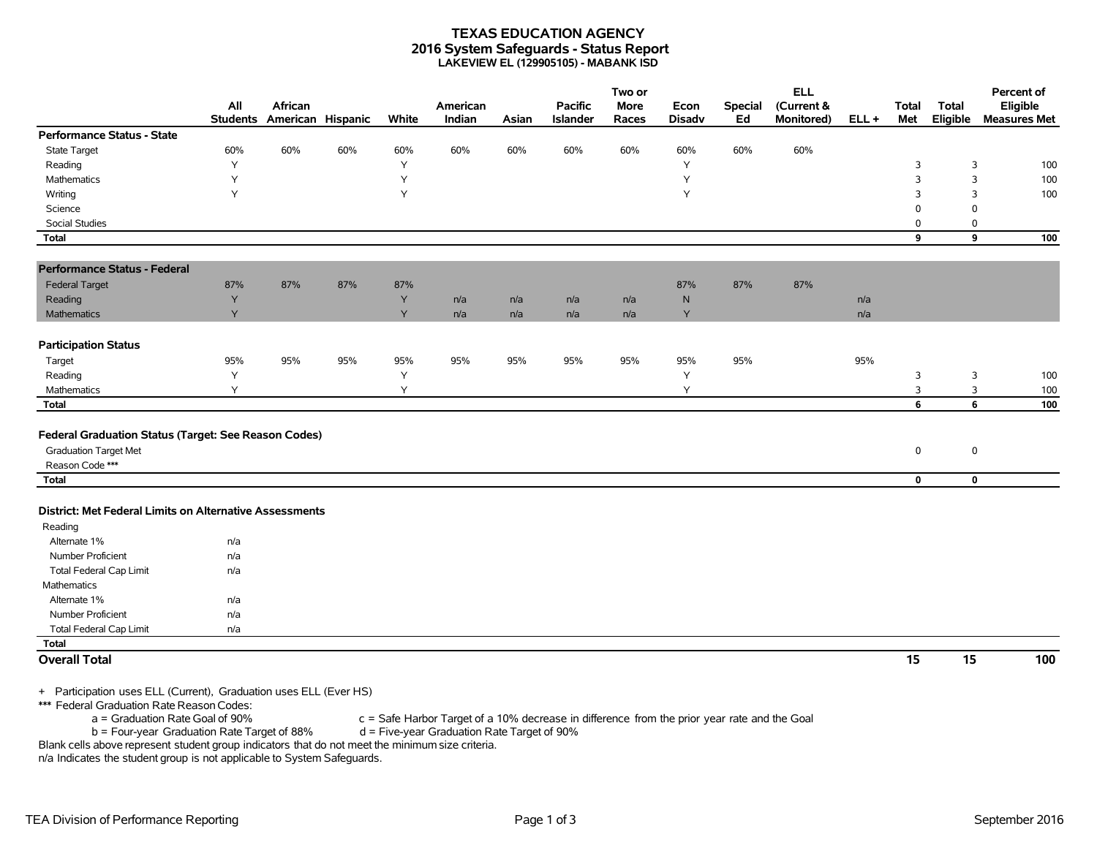#### **TEXAS EDUCATION AGENCY 2016 System Safeguards - Status Report LAKEVIEW EL (129905105) - MABANK ISD**

|                                                         |                                    | African           |                         |       | American |       | <b>Pacific</b>  | Two or<br><b>More</b> |                       |                      | <b>ELL</b>               |         |                     |                   | Percent of                      |
|---------------------------------------------------------|------------------------------------|-------------------|-------------------------|-------|----------|-------|-----------------|-----------------------|-----------------------|----------------------|--------------------------|---------|---------------------|-------------------|---------------------------------|
|                                                         | All<br><b>Students</b>             | American Hispanic |                         | White | Indian   | Asian | <b>Islander</b> | Races                 | Econ<br><b>Disadv</b> | <b>Special</b><br>Ed | (Current &<br>Monitored) | $ELL +$ | <b>Total</b><br>Met | Total<br>Eligible | Eligible<br><b>Measures Met</b> |
| <b>Performance Status - State</b>                       |                                    |                   |                         |       |          |       |                 |                       |                       |                      |                          |         |                     |                   |                                 |
| State Target                                            | 60%                                | 60%               | 60%                     | 60%   | 60%      | 60%   | 60%             | 60%                   | 60%                   | 60%                  | 60%                      |         |                     |                   |                                 |
| Reading                                                 | Υ                                  |                   |                         | Υ     |          |       |                 |                       | Y                     |                      |                          |         | 3                   | 3                 | 100                             |
| Mathematics                                             | Y                                  |                   |                         | Y     |          |       |                 |                       | Y                     |                      |                          |         | $\overline{3}$      | 3                 | 100                             |
| Writing                                                 | Y                                  |                   |                         | Y     |          |       |                 |                       | Y                     |                      |                          |         | 3                   | 3                 | 100                             |
| Science                                                 |                                    |                   |                         |       |          |       |                 |                       |                       |                      |                          |         | $\mathbf 0$         | $\mathbf 0$       |                                 |
| Social Studies                                          |                                    |                   |                         |       |          |       |                 |                       |                       |                      |                          |         | 0                   | 0                 |                                 |
| <b>Total</b>                                            |                                    |                   |                         |       |          |       |                 |                       |                       |                      |                          |         | 9                   | 9                 | 100                             |
| <b>Performance Status - Federal</b>                     |                                    |                   |                         |       |          |       |                 |                       |                       |                      |                          |         |                     |                   |                                 |
| <b>Federal Target</b>                                   | 87%                                | 87%               | 87%                     | 87%   |          |       |                 |                       | 87%                   | 87%                  | 87%                      |         |                     |                   |                                 |
| Reading                                                 | Y                                  |                   |                         | Y     | n/a      | n/a   | n/a             | n/a                   | ${\sf N}$             |                      |                          | n/a     |                     |                   |                                 |
| Mathematics                                             | Y                                  |                   |                         | Y     | n/a      | n/a   | n/a             | n/a                   | Y                     |                      |                          | n/a     |                     |                   |                                 |
| <b>Participation Status</b>                             |                                    |                   |                         |       |          |       |                 |                       |                       |                      |                          |         |                     |                   |                                 |
| Target                                                  | 95%                                | 95%               | 95%                     | 95%   | 95%      | 95%   | 95%             | 95%                   | 95%                   | 95%                  |                          | 95%     |                     |                   |                                 |
| Reading                                                 | Y                                  |                   |                         | Υ     |          |       |                 |                       | Y                     |                      |                          |         | 3                   | $\mathbf{3}$      | 100                             |
| Mathematics                                             | Y                                  |                   |                         | Y     |          |       |                 |                       | Υ                     |                      |                          |         | 3                   | 3                 | 100                             |
| <b>Total</b>                                            |                                    |                   |                         |       |          |       |                 |                       |                       |                      |                          |         | 6                   | 6                 | 100                             |
|                                                         |                                    |                   |                         |       |          |       |                 |                       |                       |                      |                          |         |                     |                   |                                 |
| Federal Graduation Status (Target: See Reason Codes)    |                                    |                   |                         |       |          |       |                 |                       |                       |                      |                          |         |                     |                   |                                 |
| <b>Graduation Target Met</b>                            |                                    |                   |                         |       |          |       |                 |                       |                       |                      |                          |         | $\mathbf 0$         | $\mathbf 0$       |                                 |
| Reason Code ***                                         |                                    |                   |                         |       |          |       |                 |                       |                       |                      |                          |         |                     |                   |                                 |
| Total                                                   |                                    |                   |                         |       |          |       |                 |                       |                       |                      |                          |         | $\mathbf 0$         |                   | $\mathbf 0$                     |
| District: Met Federal Limits on Alternative Assessments |                                    |                   |                         |       |          |       |                 |                       |                       |                      |                          |         |                     |                   |                                 |
| Reading                                                 |                                    |                   |                         |       |          |       |                 |                       |                       |                      |                          |         |                     |                   |                                 |
| Alternate 1%                                            |                                    |                   |                         |       |          |       |                 |                       |                       |                      |                          |         |                     |                   |                                 |
| Number Proficient                                       | n/a<br>n/a                         |                   |                         |       |          |       |                 |                       |                       |                      |                          |         |                     |                   |                                 |
| <b>Total Federal Cap Limit</b>                          | n/a                                |                   |                         |       |          |       |                 |                       |                       |                      |                          |         |                     |                   |                                 |
| Mathematics                                             |                                    |                   |                         |       |          |       |                 |                       |                       |                      |                          |         |                     |                   |                                 |
| Alternate 1%                                            | n/a                                |                   |                         |       |          |       |                 |                       |                       |                      |                          |         |                     |                   |                                 |
| Number Proficient                                       | n/a                                |                   |                         |       |          |       |                 |                       |                       |                      |                          |         |                     |                   |                                 |
| Total Federal Cap Limit                                 | n/a                                |                   |                         |       |          |       |                 |                       |                       |                      |                          |         |                     |                   |                                 |
| <b>Total</b>                                            |                                    |                   |                         |       |          |       |                 |                       |                       |                      |                          |         |                     |                   |                                 |
| <b>Overall Total</b>                                    |                                    |                   |                         |       |          |       |                 |                       |                       |                      |                          |         | 15                  | 15                | 100                             |
|                                                         |                                    |                   |                         |       |          |       |                 |                       |                       |                      |                          |         |                     |                   |                                 |
| $-11/2$<br>.                                            | $\sim$ $\sim$ $\sim$ $\sim$ $\sim$ |                   | $-1$ $\leftarrow$ $100$ |       |          |       |                 |                       |                       |                      |                          |         |                     |                   |                                 |

+ Participation uses ELL (Current), Graduation uses ELL (Ever HS)

\*\*\* Federal Graduation Rate Reason Codes:

a = Graduation Rate Goal of 90% c = Safe Harbor Target of a 10% decrease in difference from the prior year rate and the Goal<br>b = Four-year Graduation Rate Target of 88% d = Five-year Graduation Rate Target of 90%  $b =$  Four-year Graduation Rate Target of 88%

Blank cells above represent student group indicators that do not meet the minimum size criteria.

n/a Indicates the student group is not applicable to System Safeguards.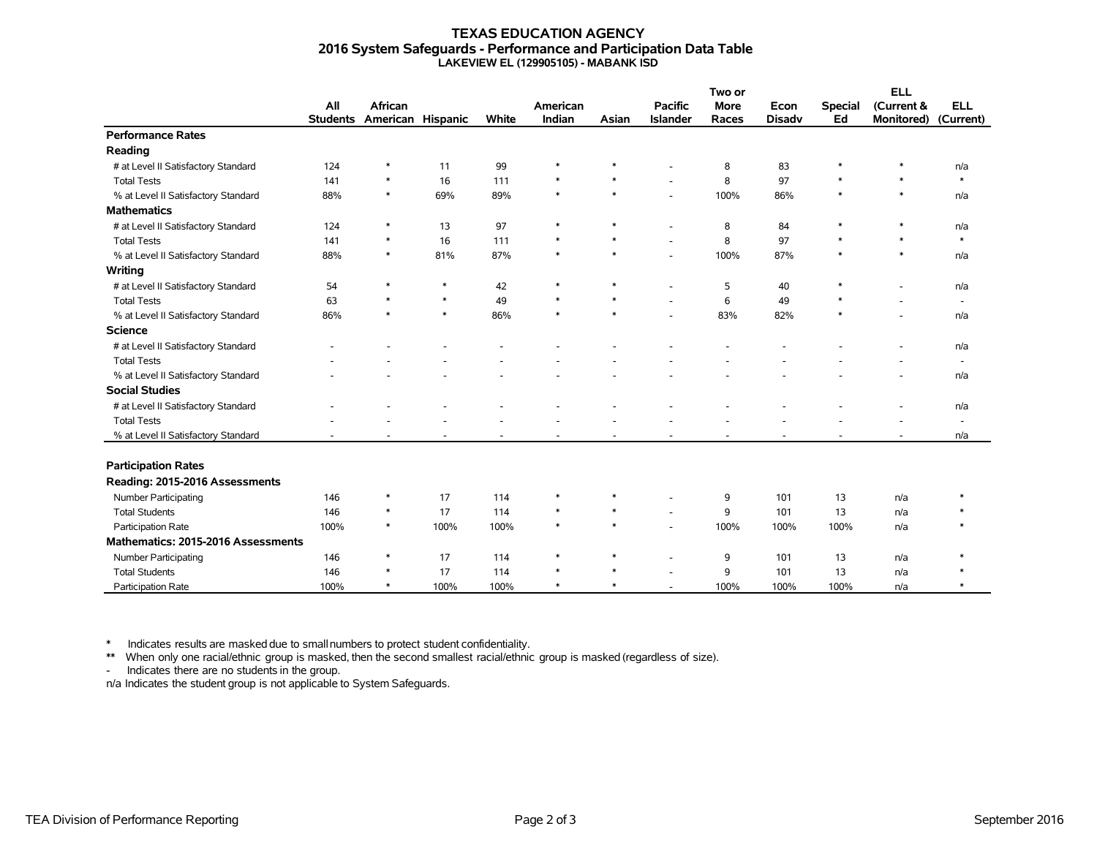#### **TEXAS EDUCATION AGENCY 2016 System Safeguards - Performance and Participation Data Table LAKEVIEW EL (129905105) - MABANK ISD**

|                                     |                 |                   |        |       |          |        |                          | Two or      |               |                | <b>ELL</b>        |                          |
|-------------------------------------|-----------------|-------------------|--------|-------|----------|--------|--------------------------|-------------|---------------|----------------|-------------------|--------------------------|
|                                     | All             | African           |        |       | American |        | <b>Pacific</b>           | <b>More</b> | Econ          | <b>Special</b> | (Current &        | <b>ELL</b>               |
|                                     | <b>Students</b> | American Hispanic |        | White | Indian   | Asian  | <b>Islander</b>          | Races       | <b>Disadv</b> | Ed             | <b>Monitored)</b> | (Current)                |
| <b>Performance Rates</b>            |                 |                   |        |       |          |        |                          |             |               |                |                   |                          |
| Reading                             |                 |                   |        |       |          |        |                          |             |               |                |                   |                          |
| # at Level II Satisfactory Standard | 124             | $\ast$            | 11     | 99    | $\ast$   | $\ast$ |                          | 8           | 83            | $\ast$         | $\ast$            | n/a                      |
| <b>Total Tests</b>                  | 141             | $\ast$            | 16     | 111   | $\ast$   | $\ast$ | ÷.                       | 8           | 97            | $\ast$         | $\ast$            | $\ast$                   |
| % at Level II Satisfactory Standard | 88%             | $\ast$            | 69%    | 89%   | $\ast$   | $\ast$ | $\overline{\phantom{a}}$ | 100%        | 86%           | $\ast$         | $\ast$            | n/a                      |
| <b>Mathematics</b>                  |                 |                   |        |       |          |        |                          |             |               |                |                   |                          |
| # at Level II Satisfactory Standard | 124             | $\ast$            | 13     | 97    | $\ast$   | $\ast$ |                          | 8           | 84            | $\ast$         | $\ast$            | n/a                      |
| <b>Total Tests</b>                  | 141             | $\ast$            | 16     | 111   | $\ast$   | $\ast$ | ÷                        | 8           | 97            | $\ast$         | $\ast$            | $\ast$                   |
| % at Level II Satisfactory Standard | 88%             | $\ast$            | 81%    | 87%   | $\ast$   | $\ast$ |                          | 100%        | 87%           | $\ast$         | $\ast$            | n/a                      |
| Writing                             |                 |                   |        |       |          |        |                          |             |               |                |                   |                          |
| # at Level II Satisfactory Standard | 54              | $\ast$            | $\ast$ | 42    | $\ast$   | $\ast$ |                          | 5           | 40            | $\ast$         |                   | n/a                      |
| <b>Total Tests</b>                  | 63              | $\ast$            | $\ast$ | 49    | $\ast$   | $\ast$ |                          | 6           | 49            | $\ast$         |                   | $\overline{\phantom{a}}$ |
| % at Level II Satisfactory Standard | 86%             | $\ast$            | $\ast$ | 86%   | $\ast$   | $\ast$ | ÷                        | 83%         | 82%           | $\ast$         |                   | n/a                      |
| <b>Science</b>                      |                 |                   |        |       |          |        |                          |             |               |                |                   |                          |
| # at Level II Satisfactory Standard |                 |                   |        |       |          |        |                          |             |               |                |                   | n/a                      |
| <b>Total Tests</b>                  |                 |                   |        |       |          |        |                          |             |               |                |                   | $\overline{\phantom{a}}$ |
| % at Level II Satisfactory Standard |                 |                   |        |       |          |        |                          |             |               |                |                   | n/a                      |
| <b>Social Studies</b>               |                 |                   |        |       |          |        |                          |             |               |                |                   |                          |
| # at Level II Satisfactory Standard |                 |                   |        |       |          |        |                          |             |               |                |                   | n/a                      |
| <b>Total Tests</b>                  |                 |                   |        |       |          |        |                          |             |               |                |                   | $\overline{\phantom{a}}$ |
| % at Level II Satisfactory Standard |                 |                   |        |       |          |        |                          |             |               |                |                   | n/a                      |
|                                     |                 |                   |        |       |          |        |                          |             |               |                |                   |                          |
| <b>Participation Rates</b>          |                 |                   |        |       |          |        |                          |             |               |                |                   |                          |
| Reading: 2015-2016 Assessments      |                 |                   |        |       |          |        |                          |             |               |                |                   |                          |
| Number Participating                | 146             | $\ast$            | 17     | 114   | $\ast$   | $\ast$ | ÷                        | 9           | 101           | 13             | n/a               |                          |
| <b>Total Students</b>               | 146             | $\ast$            | 17     | 114   | $\ast$   | $\ast$ |                          | 9           | 101           | 13             | n/a               |                          |
| Participation Rate                  | 100%            | $\ast$            | 100%   | 100%  | $\ast$   | $\ast$ | ÷.                       | 100%        | 100%          | 100%           | n/a               |                          |
| Mathematics: 2015-2016 Assessments  |                 |                   |        |       |          |        |                          |             |               |                |                   |                          |
| Number Participating                | 146             | $\ast$            | 17     | 114   | $\ast$   | $\ast$ |                          | 9           | 101           | 13             | n/a               |                          |
| <b>Total Students</b>               | 146             | $\ast$            | 17     | 114   | $\ast$   | $\ast$ |                          | 9           | 101           | 13             | n/a               |                          |
| Participation Rate                  | 100%            | $\ast$            | 100%   | 100%  | $\ast$   | $\ast$ |                          | 100%        | 100%          | 100%           | n/a               |                          |

\* Indicates results are masked due to smallnumbers to protect student confidentiality.

\*\* When only one racial/ethnic group is masked, then the second smallest racial/ethnic group is masked (regardless of size).

- Indicates there are no students in the group.

n/a Indicates the student group is not applicable to System Safeguards.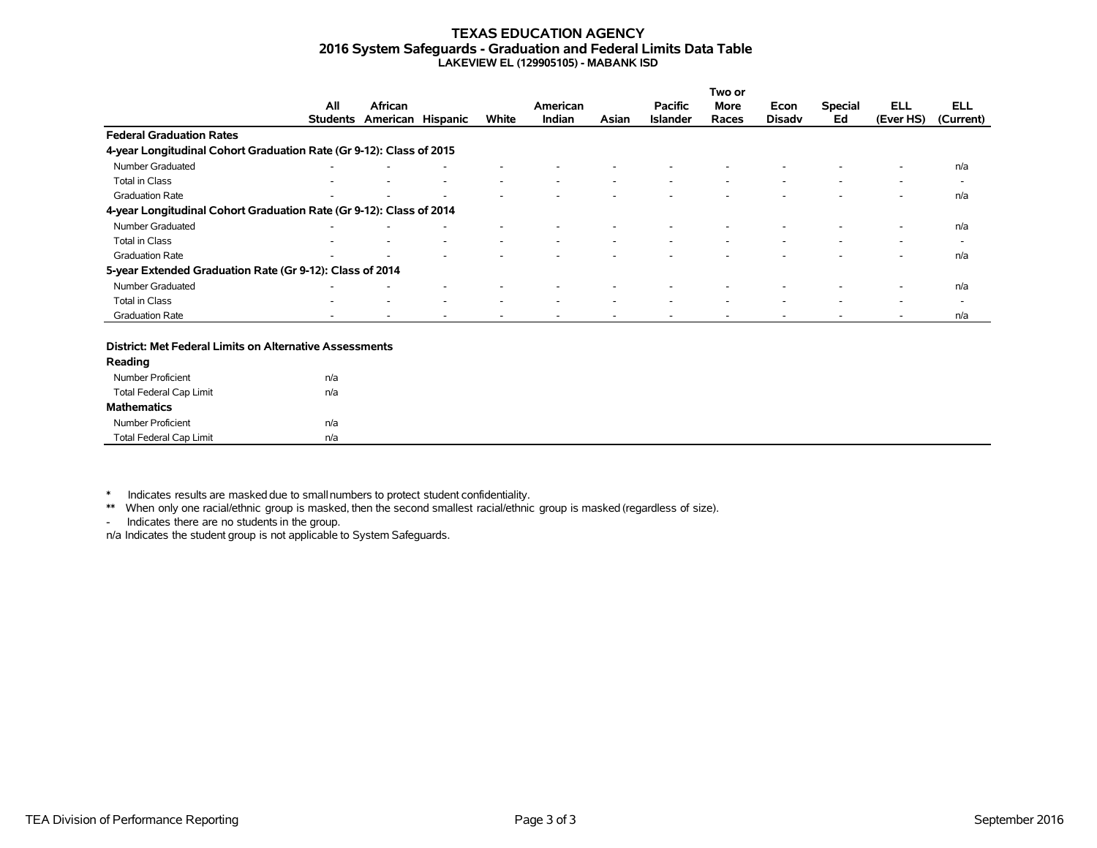#### **TEXAS EDUCATION AGENCY 2016 System Safeguards - Graduation and Federal Limits Data Table LAKEVIEW EL (129905105) - MABANK ISD**

|                                                                     |                          |                   |                          |                          |          |       |                 | Two or |                          |                          |                          |                          |
|---------------------------------------------------------------------|--------------------------|-------------------|--------------------------|--------------------------|----------|-------|-----------------|--------|--------------------------|--------------------------|--------------------------|--------------------------|
|                                                                     | All                      | African           |                          |                          | American |       | <b>Pacific</b>  | More   | Econ                     | <b>Special</b>           | ELL                      | <b>ELL</b>               |
|                                                                     | <b>Students</b>          | American Hispanic |                          | White                    | Indian   | Asian | <b>Islander</b> | Races  | <b>Disady</b>            | Ed                       | (Ever HS)                | (Current)                |
| <b>Federal Graduation Rates</b>                                     |                          |                   |                          |                          |          |       |                 |        |                          |                          |                          |                          |
| 4-year Longitudinal Cohort Graduation Rate (Gr 9-12): Class of 2015 |                          |                   |                          |                          |          |       |                 |        |                          |                          |                          |                          |
| Number Graduated                                                    |                          |                   |                          |                          |          |       |                 |        |                          |                          |                          | n/a                      |
| Total in Class                                                      | $\overline{\phantom{a}}$ |                   | $\overline{\phantom{a}}$ | $\overline{\phantom{a}}$ | ۰        |       |                 | ٠      | $\overline{\phantom{a}}$ | $\overline{\phantom{a}}$ | $\overline{\phantom{a}}$ | $\overline{\phantom{a}}$ |
| <b>Graduation Rate</b>                                              | $\overline{\phantom{a}}$ |                   |                          |                          |          |       |                 |        |                          |                          |                          | n/a                      |
| 4-year Longitudinal Cohort Graduation Rate (Gr 9-12): Class of 2014 |                          |                   |                          |                          |          |       |                 |        |                          |                          |                          |                          |
| Number Graduated                                                    | $\overline{\phantom{a}}$ |                   |                          |                          |          |       |                 |        |                          |                          | ۰                        | n/a                      |
| Total in Class                                                      |                          |                   |                          | $\overline{\phantom{a}}$ |          |       |                 |        |                          |                          |                          | $\overline{\phantom{a}}$ |
| <b>Graduation Rate</b>                                              | $\overline{\phantom{a}}$ |                   |                          |                          |          |       |                 |        |                          |                          | ۰                        | n/a                      |
| 5-year Extended Graduation Rate (Gr 9-12): Class of 2014            |                          |                   |                          |                          |          |       |                 |        |                          |                          |                          |                          |
| Number Graduated                                                    |                          |                   |                          |                          |          |       |                 |        |                          |                          |                          | n/a                      |
| Total in Class                                                      | -                        |                   | ۰                        | $\overline{\phantom{a}}$ | ۰        |       |                 | ٠      | $\overline{\phantom{a}}$ | $\overline{\phantom{a}}$ | $\overline{\phantom{a}}$ | $\overline{\phantom{a}}$ |
| <b>Graduation Rate</b>                                              |                          |                   |                          |                          |          |       |                 |        |                          |                          |                          | n/a                      |

#### **District: Met Federal Limits on Alternative Assessments**

| Reading                        |     |
|--------------------------------|-----|
| Number Proficient              | n/a |
| <b>Total Federal Cap Limit</b> | n/a |
| <b>Mathematics</b>             |     |
| Number Proficient              | n/a |
| <b>Total Federal Cap Limit</b> | n/a |

\* Indicates results are masked due to smallnumbers to protect student confidentiality.

\*\* When only one racial/ethnic group is masked, then the second smallest racial/ethnic group is masked (regardless of size).

- Indicates there are no students in the group.

n/a Indicates the student group is not applicable to System Safeguards.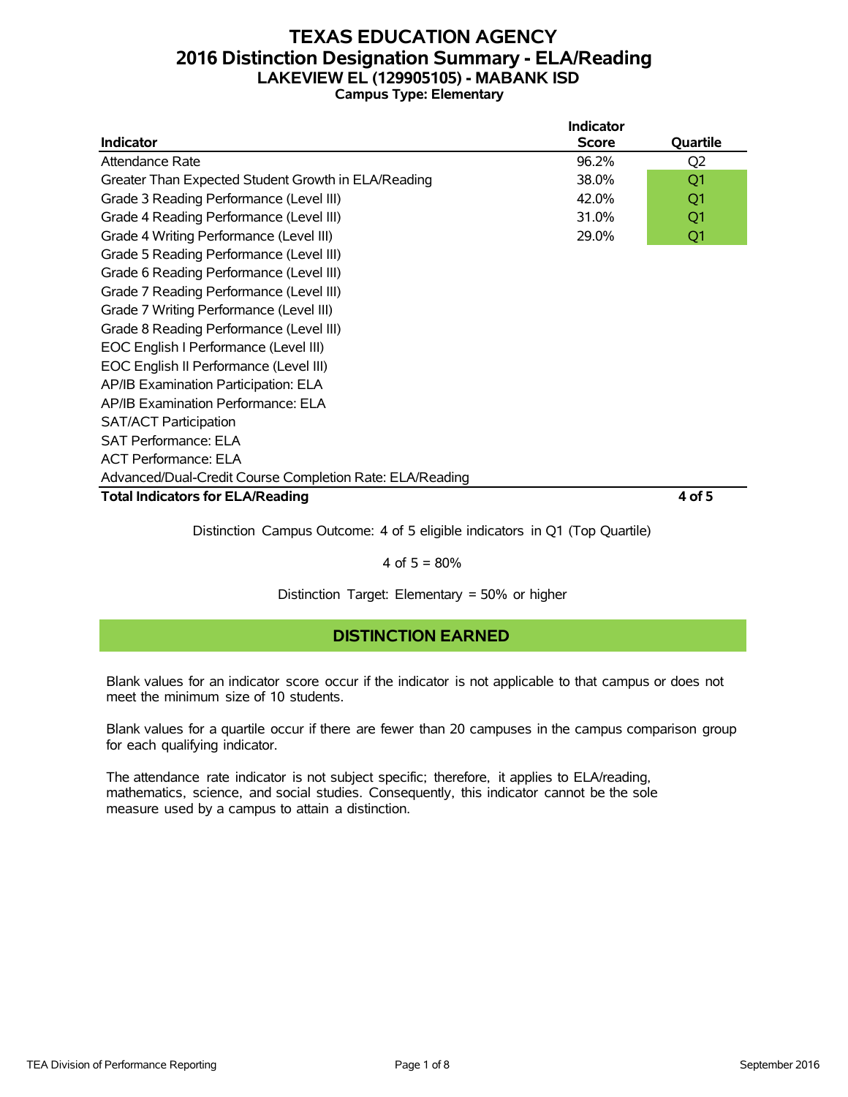### **TEXAS EDUCATION AGENCY 2016 Distinction Designation Summary - ELA/Reading LAKEVIEW EL (129905105) - MABANK ISD Campus Type: Elementary**

|                                                          | <b>Indicator</b> |                |
|----------------------------------------------------------|------------------|----------------|
| <b>Indicator</b>                                         | <b>Score</b>     | Quartile       |
| Attendance Rate                                          | 96.2%            | Q <sub>2</sub> |
| Greater Than Expected Student Growth in ELA/Reading      | 38.0%            | Q1             |
| Grade 3 Reading Performance (Level III)                  | 42.0%            | Q1             |
| Grade 4 Reading Performance (Level III)                  | 31.0%            | Q1             |
| Grade 4 Writing Performance (Level III)                  | 29.0%            | Q1             |
| Grade 5 Reading Performance (Level III)                  |                  |                |
| Grade 6 Reading Performance (Level III)                  |                  |                |
| Grade 7 Reading Performance (Level III)                  |                  |                |
| Grade 7 Writing Performance (Level III)                  |                  |                |
| Grade 8 Reading Performance (Level III)                  |                  |                |
| EOC English I Performance (Level III)                    |                  |                |
| EOC English II Performance (Level III)                   |                  |                |
| AP/IB Examination Participation: ELA                     |                  |                |
| AP/IB Examination Performance: ELA                       |                  |                |
| <b>SAT/ACT Participation</b>                             |                  |                |
| <b>SAT Performance: ELA</b>                              |                  |                |
| <b>ACT Performance: ELA</b>                              |                  |                |
| Advanced/Dual-Credit Course Completion Rate: ELA/Reading |                  |                |
| <b>Total Indicators for ELA/Reading</b>                  |                  | 4 of 5         |

Distinction Campus Outcome: 4 of 5 eligible indicators in Q1 (Top Quartile)

### 4 of  $5 = 80%$

Distinction Target: Elementary = 50% or higher

### **DISTINCTION EARNED**

Blank values for an indicator score occur if the indicator is not applicable to that campus or does not meet the minimum size of 10 students.

Blank values for a quartile occur if there are fewer than 20 campuses in the campus comparison group for each qualifying indicator.

The attendance rate indicator is not subject specific; therefore, it applies to ELA/reading, mathematics, science, and social studies. Consequently, this indicator cannot be the sole measure used by a campus to attain a distinction.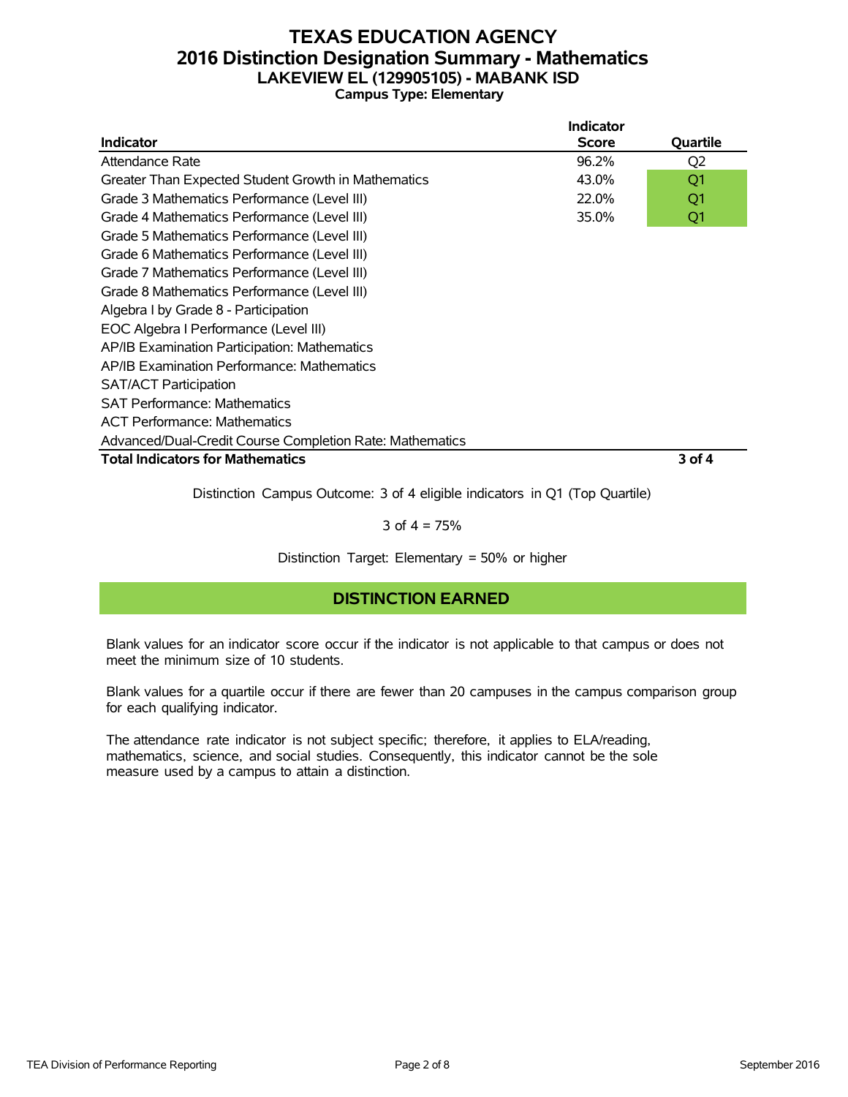### **TEXAS EDUCATION AGENCY 2016 Distinction Designation Summary - Mathematics LAKEVIEW EL (129905105) - MABANK ISD Campus Type: Elementary**

|                                                          | Indicator    |                |
|----------------------------------------------------------|--------------|----------------|
| <b>Indicator</b>                                         | <b>Score</b> | Quartile       |
| Attendance Rate                                          | 96.2%        | Q <sub>2</sub> |
| Greater Than Expected Student Growth in Mathematics      | 43.0%        | Q1             |
| Grade 3 Mathematics Performance (Level III)              | 22.0%        | Q1             |
| Grade 4 Mathematics Performance (Level III)              | 35.0%        | Q1             |
| Grade 5 Mathematics Performance (Level III)              |              |                |
| Grade 6 Mathematics Performance (Level III)              |              |                |
| Grade 7 Mathematics Performance (Level III)              |              |                |
| Grade 8 Mathematics Performance (Level III)              |              |                |
| Algebra I by Grade 8 - Participation                     |              |                |
| EOC Algebra I Performance (Level III)                    |              |                |
| AP/IB Examination Participation: Mathematics             |              |                |
| AP/IB Examination Performance: Mathematics               |              |                |
| <b>SAT/ACT Participation</b>                             |              |                |
| <b>SAT Performance: Mathematics</b>                      |              |                |
| <b>ACT Performance: Mathematics</b>                      |              |                |
| Advanced/Dual-Credit Course Completion Rate: Mathematics |              |                |
| <b>Total Indicators for Mathematics</b>                  |              | 3 of 4         |

Distinction Campus Outcome: 3 of 4 eligible indicators in Q1 (Top Quartile)

3 of  $4 = 75%$ 

Distinction Target: Elementary = 50% or higher

### **DISTINCTION EARNED**

Blank values for an indicator score occur if the indicator is not applicable to that campus or does not meet the minimum size of 10 students.

Blank values for a quartile occur if there are fewer than 20 campuses in the campus comparison group for each qualifying indicator.

The attendance rate indicator is not subject specific; therefore, it applies to ELA/reading, mathematics, science, and social studies. Consequently, this indicator cannot be the sole measure used by a campus to attain a distinction.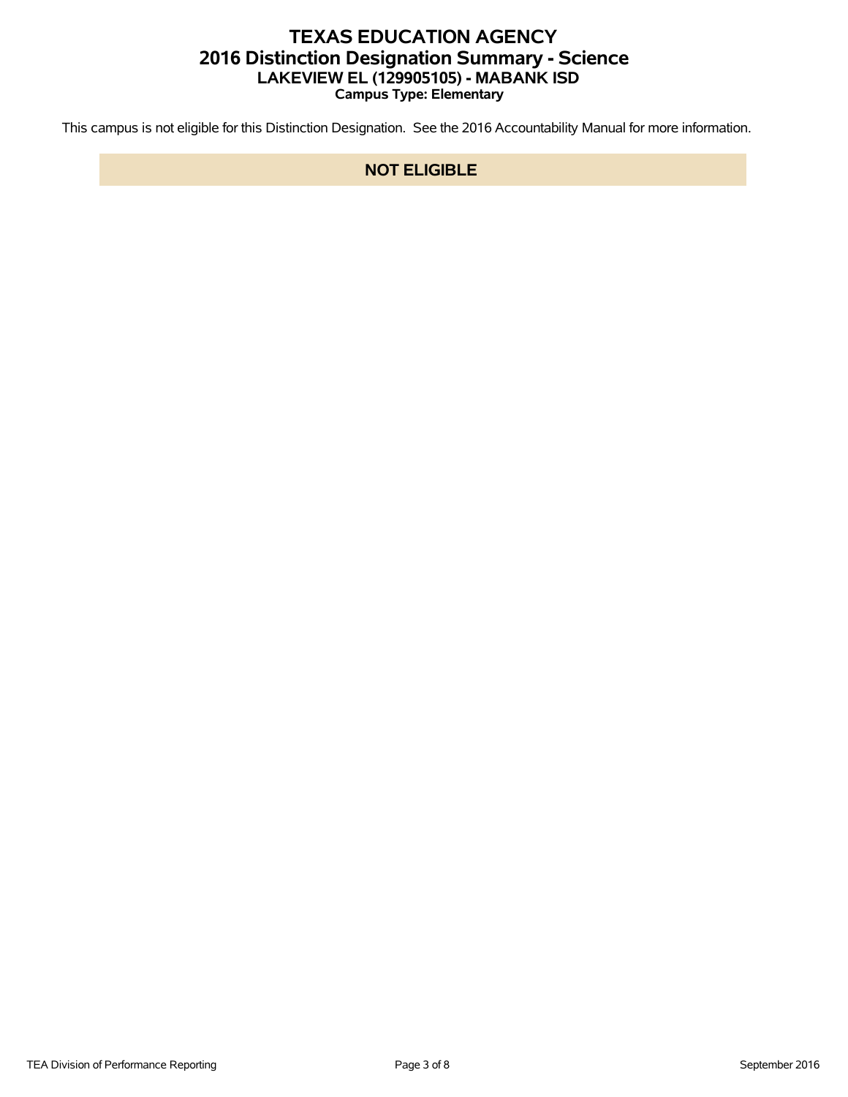# **TEXAS EDUCATION AGENCY 2016 Distinction Designation Summary - Science LAKEVIEW EL (129905105) - MABANK ISD Campus Type: Elementary**

This campus is not eligible for this Distinction Designation. See the 2016 Accountability Manual for more information.

### **NOT ELIGIBLE**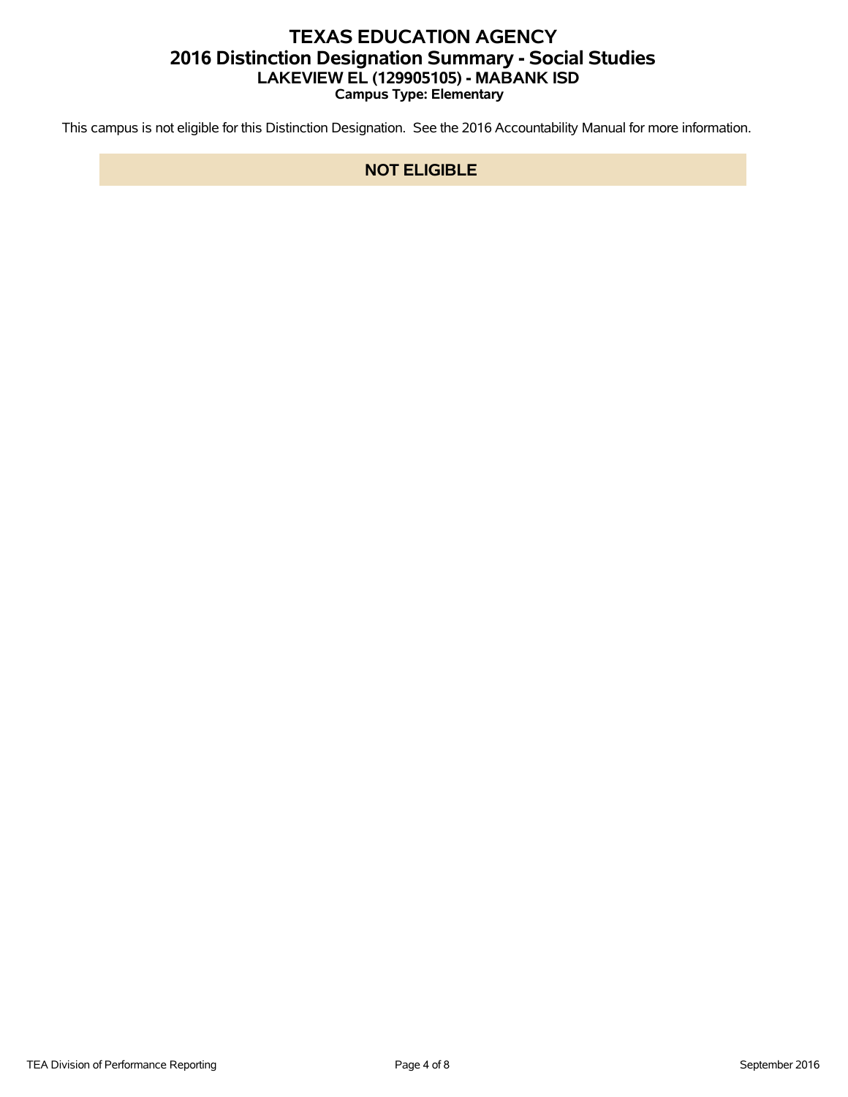# **TEXAS EDUCATION AGENCY 2016 Distinction Designation Summary - Social Studies LAKEVIEW EL (129905105) - MABANK ISD Campus Type: Elementary**

This campus is not eligible for this Distinction Designation. See the 2016 Accountability Manual for more information.

### **NOT ELIGIBLE**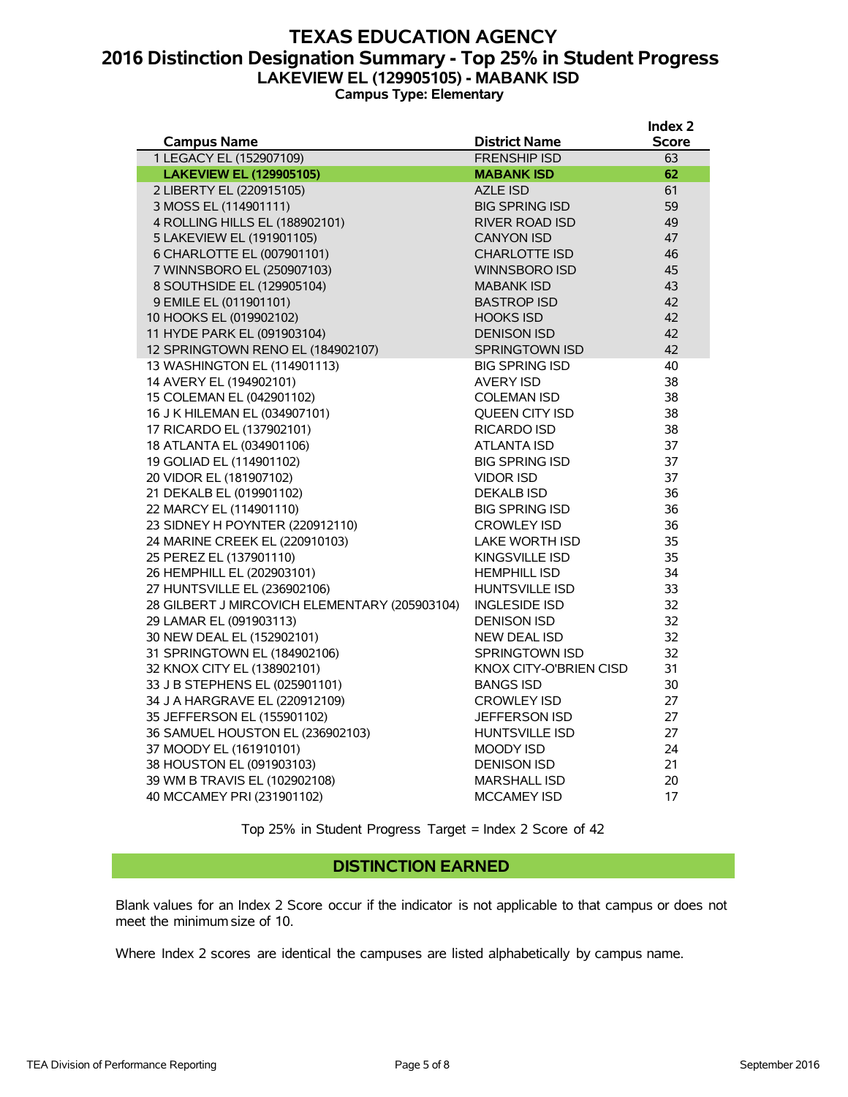### **TEXAS EDUCATION AGENCY 2016 Distinction Designation Summary - Top 25% in Student Progress LAKEVIEW EL (129905105) - MABANK ISD Campus Type: Elementary**

|                                               |                               | Index 2 |
|-----------------------------------------------|-------------------------------|---------|
| <b>Campus Name</b>                            | <b>District Name</b>          | Score   |
| 1 LEGACY EL (152907109)                       | <b>FRENSHIP ISD</b>           | 63      |
| <b>LAKEVIEW EL (129905105)</b>                | <b>MABANK ISD</b>             | 62      |
| 2 LIBERTY EL (220915105)                      | <b>AZLE ISD</b>               | 61      |
| 3 MOSS EL (114901111)                         | <b>BIG SPRING ISD</b>         | 59      |
| 4 ROLLING HILLS EL (188902101)                | RIVER ROAD ISD                | 49      |
| 5 LAKEVIEW EL (191901105)                     | <b>CANYON ISD</b>             | 47      |
| 6 CHARLOTTE EL (007901101)                    | <b>CHARLOTTE ISD</b>          | 46      |
| 7 WINNSBORO EL (250907103)                    | WINNSBORO ISD                 | 45      |
| 8 SOUTHSIDE EL (129905104)                    | <b>MABANK ISD</b>             | 43      |
| 9 EMILE EL (011901101)                        | <b>BASTROP ISD</b>            | 42      |
| 10 HOOKS EL (019902102)                       | <b>HOOKS ISD</b>              | 42      |
| 11 HYDE PARK EL (091903104)                   | <b>DENISON ISD</b>            | 42      |
| 12 SPRINGTOWN RENO EL (184902107)             | SPRINGTOWN ISD                | 42      |
| 13 WASHINGTON EL (114901113)                  | <b>BIG SPRING ISD</b>         | 40      |
| 14 AVERY EL (194902101)                       | <b>AVERY ISD</b>              | 38      |
| 15 COLEMAN EL (042901102)                     | <b>COLEMAN ISD</b>            | 38      |
| 16 J K HILEMAN EL (034907101)                 | <b>OUEEN CITY ISD</b>         | 38      |
| 17 RICARDO EL (137902101)                     | RICARDO ISD                   | 38      |
| 18 ATLANTA EL (034901106)                     | <b>ATLANTA ISD</b>            | 37      |
| 19 GOLIAD EL (114901102)                      | <b>BIG SPRING ISD</b>         | 37      |
| 20 VIDOR EL (181907102)                       | <b>VIDOR ISD</b>              | 37      |
| 21 DEKALB EL (019901102)                      | <b>DEKALB ISD</b>             | 36      |
| 22 MARCY EL (114901110)                       | <b>BIG SPRING ISD</b>         | 36      |
| 23 SIDNEY H POYNTER (220912110)               | <b>CROWLEY ISD</b>            | 36      |
| 24 MARINE CREEK EL (220910103)                | <b>LAKE WORTH ISD</b>         | 35      |
| 25 PEREZ EL (137901110)                       | <b>KINGSVILLE ISD</b>         | 35      |
| 26 HEMPHILL EL (202903101)                    | <b>HEMPHILL ISD</b>           | 34      |
| 27 HUNTSVILLE EL (236902106)                  | <b>HUNTSVILLE ISD</b>         | 33      |
| 28 GILBERT J MIRCOVICH ELEMENTARY (205903104) | <b>INGLESIDE ISD</b>          | 32      |
| 29 LAMAR EL (091903113)                       | <b>DENISON ISD</b>            | 32      |
| 30 NEW DEAL EL (152902101)                    | <b>NEW DEAL ISD</b>           | 32      |
| 31 SPRINGTOWN EL (184902106)                  | SPRINGTOWN ISD                | 32      |
| 32 KNOX CITY EL (138902101)                   | <b>KNOX CITY-O'BRIEN CISD</b> | 31      |
| 33 J B STEPHENS EL (025901101)                | <b>BANGS ISD</b>              | 30      |
| 34 J A HARGRAVE EL (220912109)                | <b>CROWLEY ISD</b>            | 27      |
| 35 JEFFERSON EL (155901102)                   | JEFFERSON ISD                 | 27      |
| 36 SAMUEL HOUSTON EL (236902103)              | <b>HUNTSVILLE ISD</b>         | 27      |
| 37 MOODY EL (161910101)                       | <b>MOODY ISD</b>              | 24      |
| 38 HOUSTON EL (091903103)                     | <b>DENISON ISD</b>            | 21      |
| 39 WM B TRAVIS EL (102902108)                 | <b>MARSHALL ISD</b>           | 20      |
| 40 MCCAMEY PRI (231901102)                    | <b>MCCAMEY ISD</b>            | 17      |

Top 25% in Student Progress Target = Index 2 Score of 42

#### **DISTINCTION EARNED**

Blank values for an Index 2 Score occur if the indicator is not applicable to that campus or does not meet the minimum size of 10.

Where Index 2 scores are identical the campuses are listed alphabetically by campus name.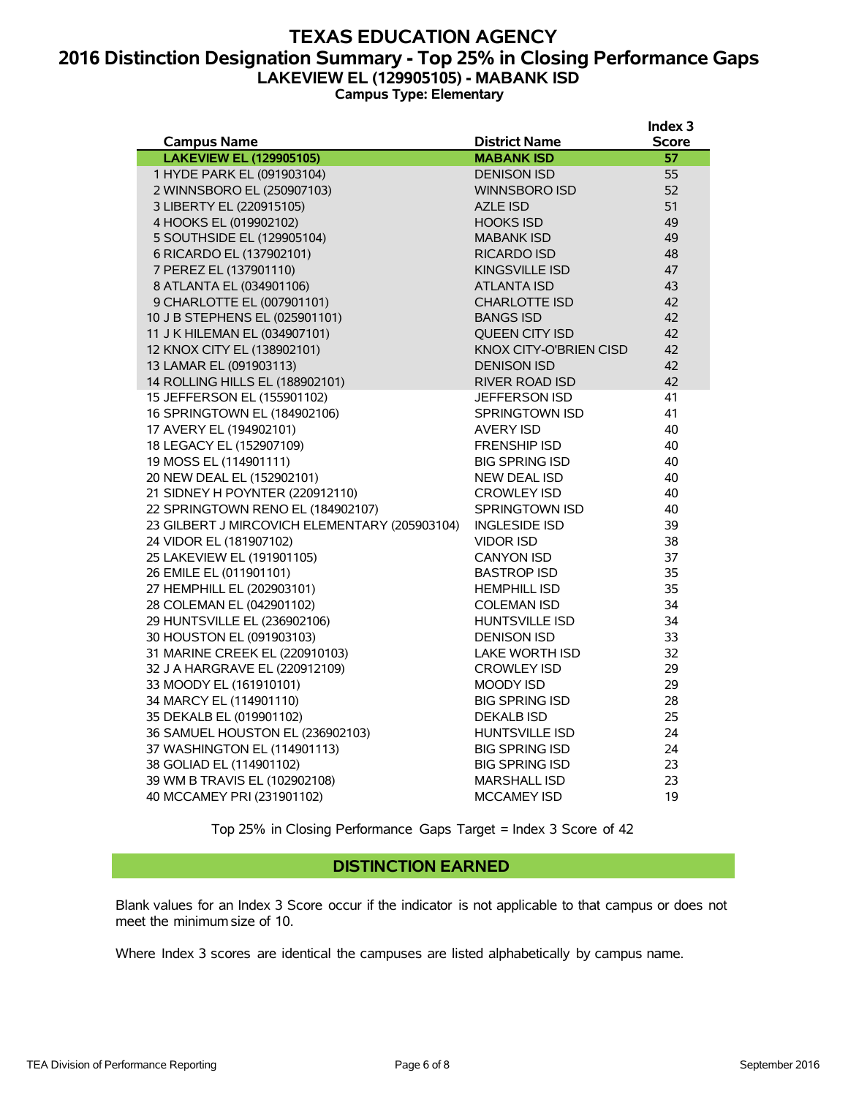### **TEXAS EDUCATION AGENCY 2016 Distinction Designation Summary - Top 25% in Closing Performance Gaps LAKEVIEW EL (129905105) - MABANK ISD Campus Type: Elementary**

**Index 3**

|                                               |                        | <b>THUEY</b> 2 |
|-----------------------------------------------|------------------------|----------------|
| <b>Campus Name</b>                            | <b>District Name</b>   | <b>Score</b>   |
| <b>LAKEVIEW EL (129905105)</b>                | <b>MABANK ISD</b>      | 57             |
| 1 HYDE PARK EL (091903104)                    | <b>DENISON ISD</b>     | 55             |
| 2 WINNSBORO EL (250907103)                    | <b>WINNSBORO ISD</b>   | 52             |
| 3 LIBERTY EL (220915105)                      | <b>AZLE ISD</b>        | 51             |
| 4 HOOKS EL (019902102)                        | <b>HOOKS ISD</b>       | 49             |
| 5 SOUTHSIDE EL (129905104)                    | <b>MABANK ISD</b>      | 49             |
| 6 RICARDO EL (137902101)                      | RICARDO ISD            | 48             |
| 7 PEREZ EL (137901110)                        | KINGSVILLE ISD         | 47             |
| 8 ATLANTA EL (034901106)                      | <b>ATLANTA ISD</b>     | 43             |
| 9 CHARLOTTE EL (007901101)                    | <b>CHARLOTTE ISD</b>   | 42             |
| 10 J B STEPHENS EL (025901101)                | <b>BANGS ISD</b>       | 42             |
| 11 J K HILEMAN EL (034907101)                 | <b>OUEEN CITY ISD</b>  | 42             |
| 12 KNOX CITY EL (138902101)                   | KNOX CITY-O'BRIEN CISD | 42             |
| 13 LAMAR EL (091903113)                       | <b>DENISON ISD</b>     | 42             |
| 14 ROLLING HILLS EL (188902101)               | <b>RIVER ROAD ISD</b>  | 42             |
| 15 JEFFERSON EL (155901102)                   | <b>JEFFERSON ISD</b>   | 41             |
| 16 SPRINGTOWN EL (184902106)                  | SPRINGTOWN ISD         | 41             |
| 17 AVERY EL (194902101)                       | <b>AVERY ISD</b>       | 40             |
| 18 LEGACY EL (152907109)                      | <b>FRENSHIP ISD</b>    | 40             |
| 19 MOSS EL (114901111)                        | <b>BIG SPRING ISD</b>  | 40             |
| 20 NEW DEAL EL (152902101)                    | <b>NEW DEAL ISD</b>    | 40             |
| 21 SIDNEY H POYNTER (220912110)               | <b>CROWLEY ISD</b>     | 40             |
| 22 SPRINGTOWN RENO EL (184902107)             | SPRINGTOWN ISD         | 40             |
| 23 GILBERT J MIRCOVICH ELEMENTARY (205903104) | <b>INGLESIDE ISD</b>   | 39             |
| 24 VIDOR EL (181907102)                       | <b>VIDOR ISD</b>       | 38             |
| 25 LAKEVIEW EL (191901105)                    | <b>CANYON ISD</b>      | 37             |
| 26 EMILE EL (011901101)                       | <b>BASTROP ISD</b>     | 35             |
| 27 HEMPHILL EL (202903101)                    | <b>HEMPHILL ISD</b>    | 35             |
| 28 COLEMAN EL (042901102)                     | <b>COLEMAN ISD</b>     | 34             |
| 29 HUNTSVILLE EL (236902106)                  | <b>HUNTSVILLE ISD</b>  | 34             |
| 30 HOUSTON EL (091903103)                     | <b>DENISON ISD</b>     | 33             |
| 31 MARINE CREEK EL (220910103)                | LAKE WORTH ISD         | 32             |
| 32 J A HARGRAVE EL (220912109)                | <b>CROWLEY ISD</b>     | 29             |
| 33 MOODY EL (161910101)                       | MOODY ISD              | 29             |
| 34 MARCY EL (114901110)                       | <b>BIG SPRING ISD</b>  | 28             |
| 35 DEKALB EL (019901102)                      | <b>DEKALB ISD</b>      | 25             |
| 36 SAMUEL HOUSTON EL (236902103)              | <b>HUNTSVILLE ISD</b>  | 24             |
| 37 WASHINGTON EL (114901113)                  | <b>BIG SPRING ISD</b>  | 24             |
| 38 GOLIAD EL (114901102)                      | <b>BIG SPRING ISD</b>  | 23             |
| 39 WM B TRAVIS EL (102902108)                 | <b>MARSHALL ISD</b>    | 23             |
| 40 MCCAMEY PRI (231901102)                    | <b>MCCAMEY ISD</b>     | 19             |
|                                               |                        |                |

Top 25% in Closing Performance Gaps Target = Index 3 Score of 42

#### **DISTINCTION EARNED**

Blank values for an Index 3 Score occur if the indicator is not applicable to that campus or does not meet the minimum size of 10.

Where Index 3 scores are identical the campuses are listed alphabetically by campus name.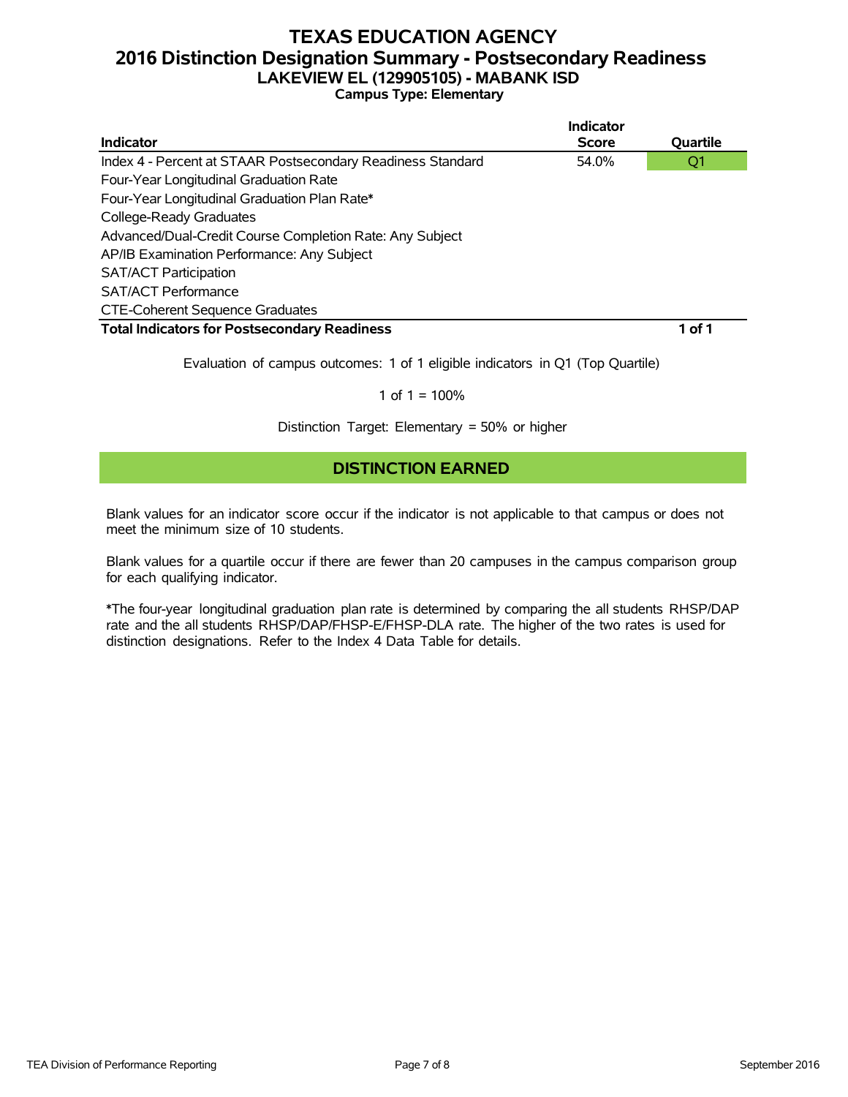### **TEXAS EDUCATION AGENCY 2016 Distinction Designation Summary - Postsecondary Readiness LAKEVIEW EL (129905105) - MABANK ISD Campus Type: Elementary**

|                                                             | Indicator    |          |
|-------------------------------------------------------------|--------------|----------|
| Indicator                                                   | <b>Score</b> | Quartile |
| Index 4 - Percent at STAAR Postsecondary Readiness Standard | 54.0%        | Q1       |
| Four-Year Longitudinal Graduation Rate                      |              |          |
| Four-Year Longitudinal Graduation Plan Rate*                |              |          |
| College-Ready Graduates                                     |              |          |
| Advanced/Dual-Credit Course Completion Rate: Any Subject    |              |          |
| AP/IB Examination Performance: Any Subject                  |              |          |
| <b>SAT/ACT Participation</b>                                |              |          |
| <b>SAT/ACT Performance</b>                                  |              |          |
| <b>CTE-Coherent Sequence Graduates</b>                      |              |          |
| <b>Total Indicators for Postsecondary Readiness</b>         |              | 1 of 1   |

Evaluation of campus outcomes: 1 of 1 eligible indicators in Q1 (Top Quartile)

#### 1 of  $1 = 100%$

Distinction Target: Elementary = 50% or higher

### **DISTINCTION EARNED**

Blank values for an indicator score occur if the indicator is not applicable to that campus or does not meet the minimum size of 10 students.

Blank values for a quartile occur if there are fewer than 20 campuses in the campus comparison group for each qualifying indicator.

\*The four-year longitudinal graduation plan rate is determined by comparing the all students RHSP/DAP rate and the all students RHSP/DAP/FHSP-E/FHSP-DLA rate. The higher of the two rates is used for distinction designations. Refer to the Index 4 Data Table for details.